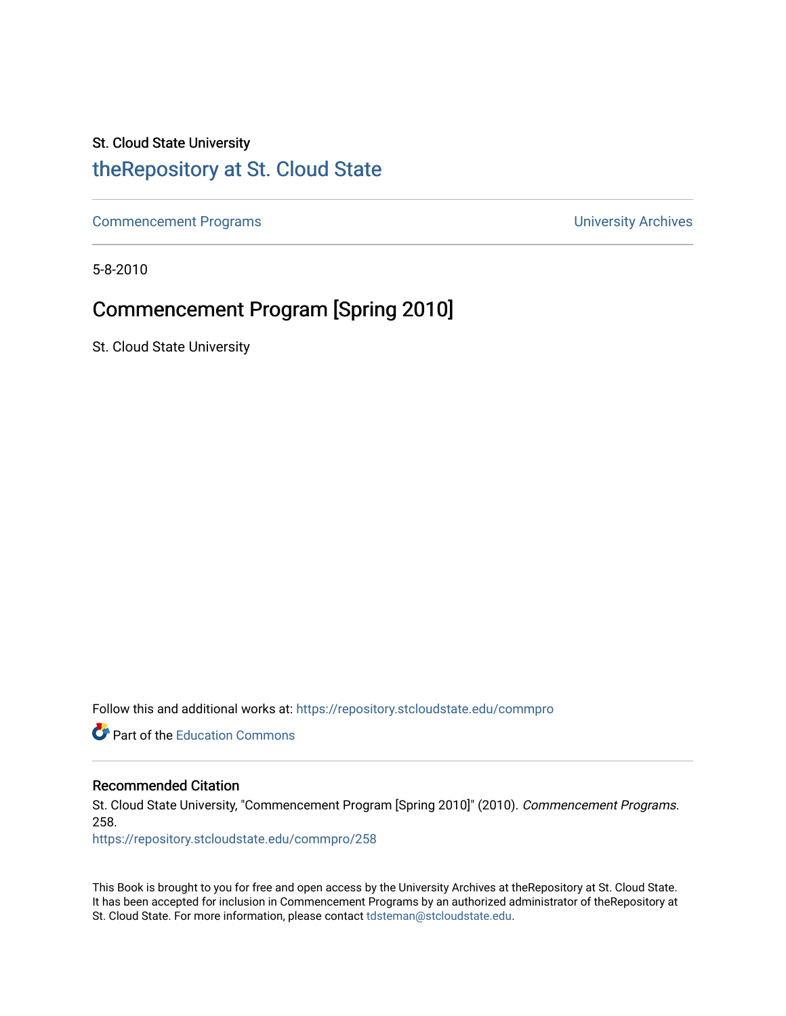# St. Cloud State University

# [theRepository at St. Cloud State](https://repository.stcloudstate.edu/)

[Commencement Programs](https://repository.stcloudstate.edu/commpro) **Commencement Programs University Archives** 

5-8-2010

# Commencement Program [Spring 2010]

St. Cloud State University

Follow this and additional works at: [https://repository.stcloudstate.edu/commpro](https://repository.stcloudstate.edu/commpro?utm_source=repository.stcloudstate.edu%2Fcommpro%2F258&utm_medium=PDF&utm_campaign=PDFCoverPages) 

**C** Part of the [Education Commons](http://network.bepress.com/hgg/discipline/784?utm_source=repository.stcloudstate.edu%2Fcommpro%2F258&utm_medium=PDF&utm_campaign=PDFCoverPages)

# Recommended Citation

St. Cloud State University, "Commencement Program [Spring 2010]" (2010). Commencement Programs. 258.

[https://repository.stcloudstate.edu/commpro/258](https://repository.stcloudstate.edu/commpro/258?utm_source=repository.stcloudstate.edu%2Fcommpro%2F258&utm_medium=PDF&utm_campaign=PDFCoverPages) 

This Book is brought to you for free and open access by the University Archives at theRepository at St. Cloud State. It has been accepted for inclusion in Commencement Programs by an authorized administrator of theRepository at St. Cloud State. For more information, please contact [tdsteman@stcloudstate.edu.](mailto:tdsteman@stcloudstate.edu)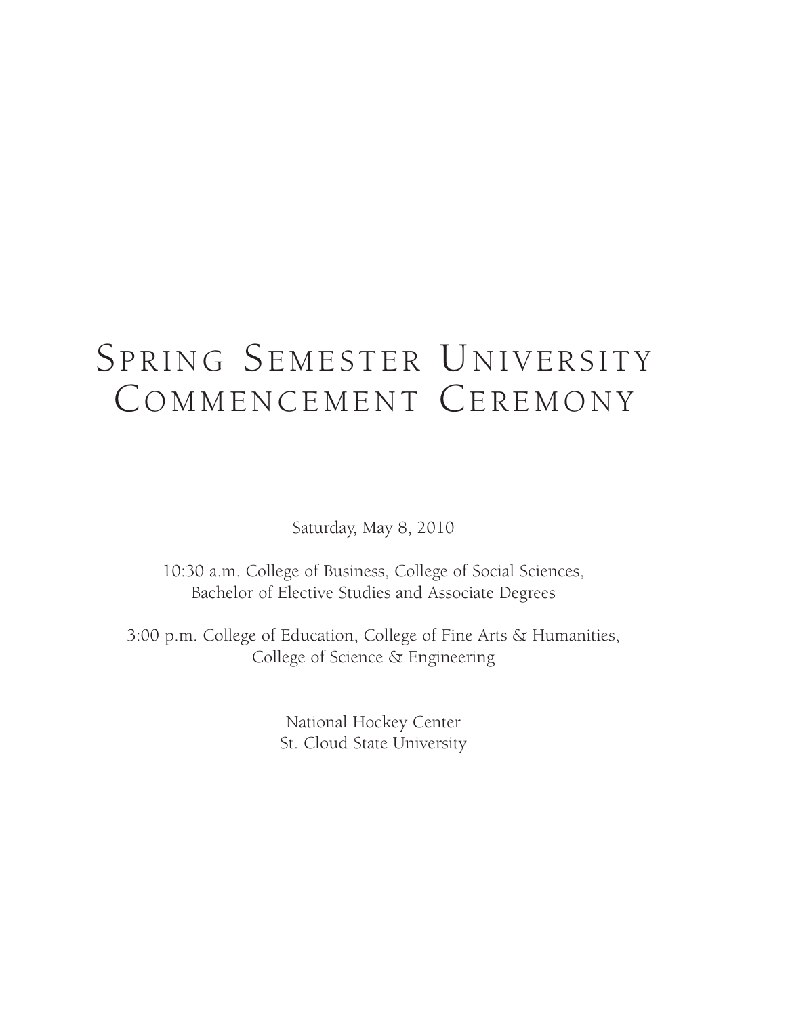# SPRING SEMESTER UNIVERSITY COMMENCEMENT CEREMONY

Saturday, May 8, 2010

10:30 a.m. College of Business, College of Social Sciences, Bachelor of Elective Studies and Associate Degrees

3:00 p.m. College of Education, College of Fine Arts & Humanities, College of Science & Engineering

> National Hockey Center St. Cloud State University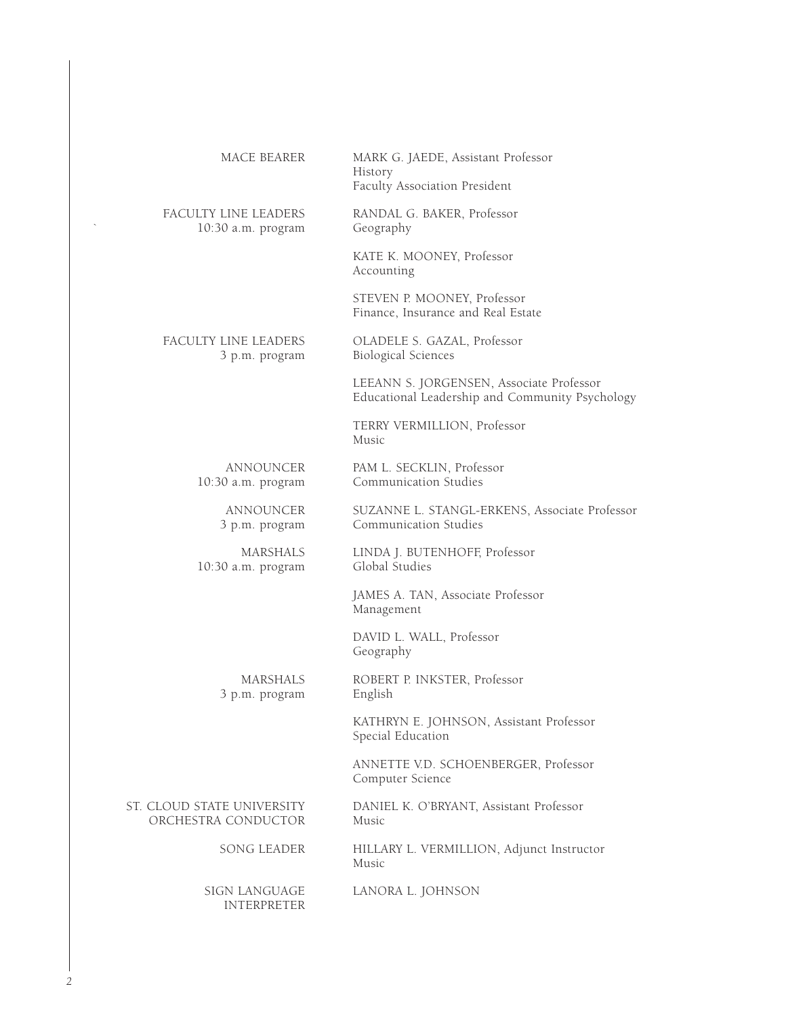| MACE BEARER                                       | MARK G. JAEDE, Assistant Professor<br>History<br>Faculty Association President              |
|---------------------------------------------------|---------------------------------------------------------------------------------------------|
| FACULTY LINE LEADERS<br>10:30 a.m. program        | RANDAL G. BAKER, Professor<br>Geography                                                     |
|                                                   | KATE K. MOONEY, Professor<br>Accounting                                                     |
|                                                   | STEVEN P. MOONEY, Professor<br>Finance, Insurance and Real Estate                           |
| FACULTY LINE LEADERS<br>3 p.m. program            | OLADELE S. GAZAL, Professor<br><b>Biological Sciences</b>                                   |
|                                                   | LEEANN S. JORGENSEN, Associate Professor<br>Educational Leadership and Community Psychology |
|                                                   | TERRY VERMILLION, Professor<br>Music                                                        |
| ANNOUNCER<br>10:30 a.m. program                   | PAM L. SECKLIN, Professor<br>Communication Studies                                          |
| ANNOUNCER<br>3 p.m. program                       | SUZANNE L. STANGL-ERKENS, Associate Professor<br>Communication Studies                      |
| <b>MARSHALS</b><br>10:30 a.m. program             | LINDA J. BUTENHOFF, Professor<br>Global Studies                                             |
|                                                   | JAMES A. TAN, Associate Professor<br>Management                                             |
|                                                   | DAVID L. WALL, Professor<br>Geography                                                       |
| <b>MARSHALS</b><br>3 p.m. program                 | ROBERT P. INKSTER, Professor<br>English                                                     |
|                                                   | KATHRYN E. JOHNSON, Assistant Professor<br>Special Education                                |
|                                                   | ANNETTE V.D. SCHOENBERGER, Professor<br>Computer Science                                    |
| ST. CLOUD STATE UNIVERSITY<br>ORCHESTRA CONDUCTOR | DANIEL K. O'BRYANT, Assistant Professor<br>Music                                            |
| SONG LEADER                                       | HILLARY L. VERMILLION, Adjunct Instructor<br>Music                                          |
| SIGN LANGUAGE<br><b>INTERPRETER</b>               | LANORA L. JOHNSON                                                                           |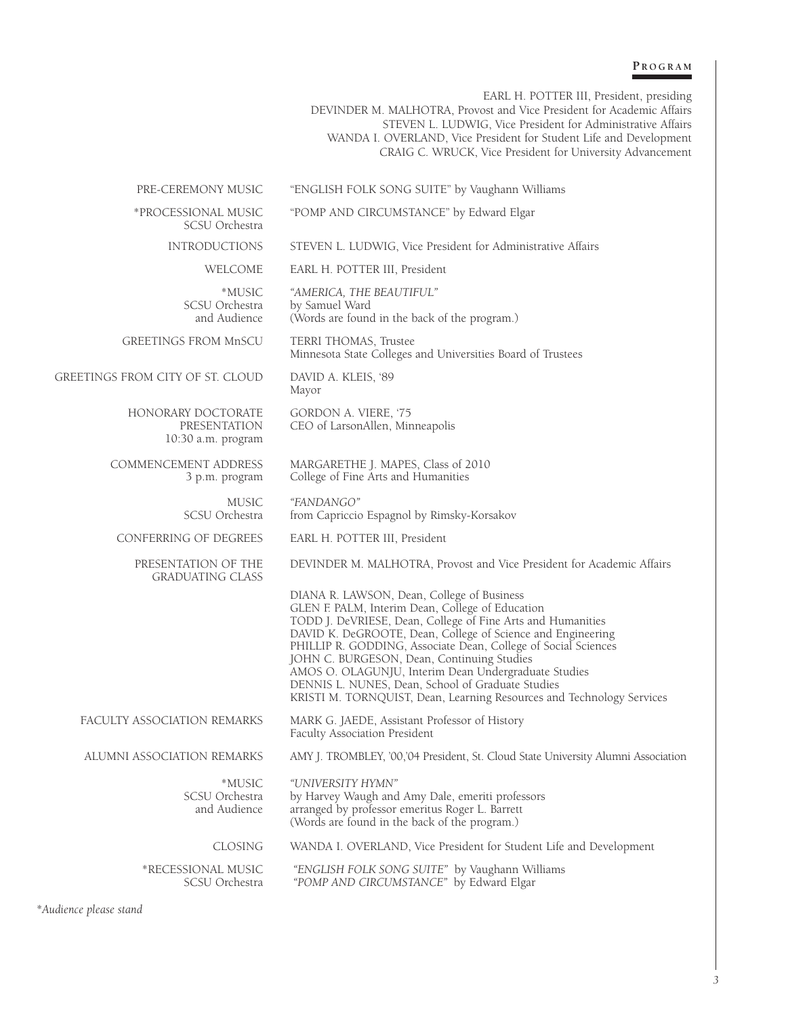#### **P R O G R A M**

EARL H. POTTER III, President, presiding

DEVINDER M. MALHOTRA, Provost and Vice President for Academic Affairs STEVEN L. LUDWIG, Vice President for Administrative Affairs WANDA I. OVERLAND, Vice President for Student Life and Development CRAIG C. WRUCK, Vice President for University Advancement

PRE-CEREMONY MUSIC "ENGLISH FOLK SONG SUITE" by Vaughann Williams

SCSU Orchestra

\*PROCESSIONAL MUSIC "POMP AND CIRCUMSTANCE" by Edward Elgar

INTRODUCTIONS STEVEN L. LUDWIG, Vice President for Administrative Affairs

WELCOME EARL H. POTTER III, President

\*MUSIC *"AMERICA, THE BEAUTIFUL"* CSU Orchestra by Samuel Ward<br>and Audience (Words are found (Words are found in the back of the program.)

GREETINGS FROM MnSCU TERRI THOMAS, Trustee Minnesota State Colleges and Universities Board of Trustees

GREETINGS FROM CITY OF ST. CLOUD DAVID A. KLEIS, '89 Mayor

> HONORARY DOCTORATE GORDON A. VIERE, '75<br>PRESENTATION CEO of LarsonAllen, Mir CEO of LarsonAllen, Minneapolis

> > Faculty Association President

COMMENCEMENT ADDRESS MARGARETHE J. MAPES, Class of 2010 3 p.m. program College of Fine Arts and Humanities

> MUSIC "FANDANGO"<br>SCSU Orchestra from Capriccion from Capriccio Espagnol by Rimsky-Korsakov

CONFERRING OF DEGREES EARL H. POTTER III, President

10:30 a.m. program

GRADUATING CLASS

PRESENTATION OF THE DEVINDER M. MALHOTRA, Provost and Vice President for Academic Affairs

DIANA R. LAWSON, Dean, College of Business GLEN F. PALM, Interim Dean, College of Education TODD J. DeVRIESE, Dean, College of Fine Arts and Humanities DAVID K. DeGROOTE, Dean, College of Science and Engineering PHILLIP R. GODDING, Associate Dean, College of Social Sciences JOHN C. BURGESON, Dean, Continuing Studies AMOS O. OLAGUNJU, Interim Dean Undergraduate Studies DENNIS L. NUNES, Dean, School of Graduate Studies KRISTI M. TORNQUIST, Dean, Learning Resources and Technology Services

FACULTY ASSOCIATION REMARKS MARK G. JAEDE, Assistant Professor of History

ALUMNI ASSOCIATION REMARKS AMY J. TROMBLEY, '00,'04 President, St. Cloud State University Alumni Association

\*MUSIC *"UNIVERSITY HYMN"* SCSU Orchestra by Harvey Waugh and Amy Dale, emeriti professors

CLOSING WANDA I. OVERLAND, Vice President for Student Life and Development

\*RECESSIONAL MUSIC *"ENGLISH FOLK SONG SUITE"* by Vaughann Williams "POMP AND CIRCUMSTANCE" by Edward Elgar

arranged by professor emeritus Roger L. Barrett (Words are found in the back of the program.)

*\*Audience please stand*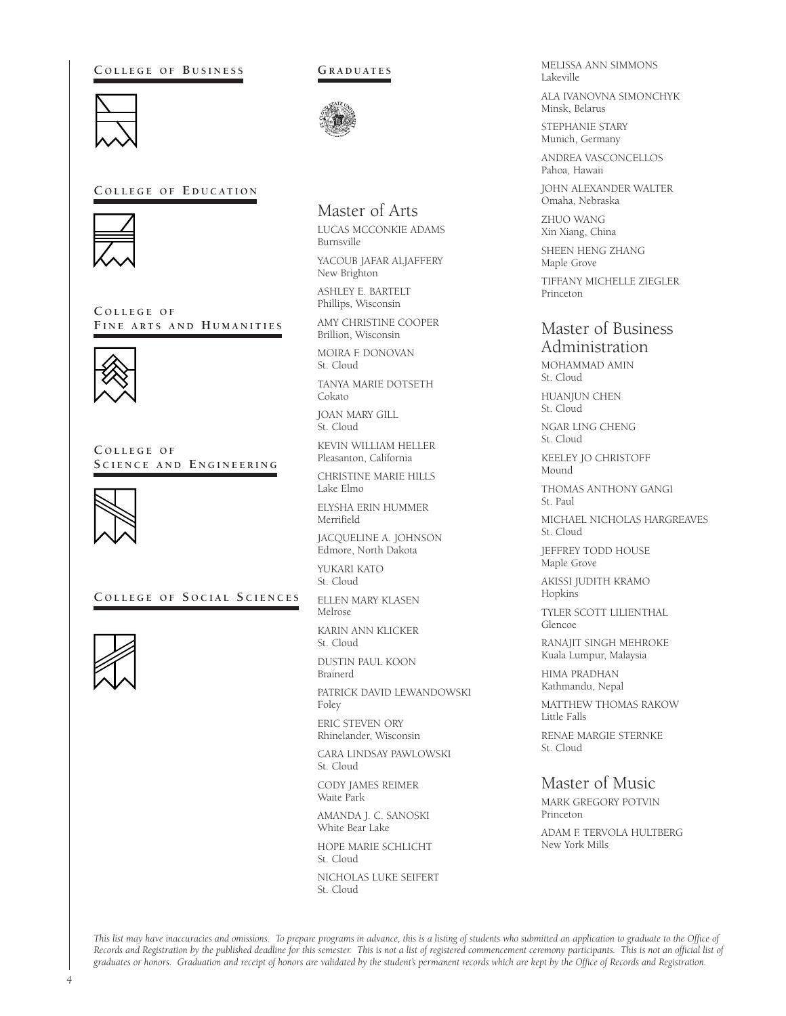**C O L L E G E O F B U S I N E S S**



### **C O L L E G E O F E D U C AT I O N**



**C O L L E G E O F F I N E A R T S A N D H U M A N I T I E S**



**C O L L E G E O F S C I E N C E A N D E N G I N E E R I N G**



 $C$  **OLLEGE OF SOCIAL SCIENCES** 



#### **GR A D U AT E S**



# Master of Arts

LUCAS MCCONKIE ADAMS Burnsville

YACOUB JAFAR ALJAFFERY New Brighton

ASHLEY E. BARTELT Phillips, Wisconsin

AMY CHRISTINE COOPER Brillion, Wisconsin

MOIRA F. DONOVAN St. Cloud

TANYA MARIE DOTSETH Cokato

JOAN MARY GILL St. Cloud

KEVIN WILLIAM HELLER Pleasanton, California

CHRISTINE MARIE HILLS Lake Elmo

ELYSHA ERIN HUMMER Merrifield

JACQUELINE A. JOHNSON Edmore, North Dakota

YUKARI KATO St. Cloud

ELLEN MARY KLASEN Melrose

KARIN ANN KLICKER St. Cloud

DUSTIN PAUL KOON Brainerd

PATRICK DAVID LEWANDOWSKI Foley

ERIC STEVEN ORY Rhinelander, Wisconsin

CARA LINDSAY PAWLOWSKI St. Cloud

CODY JAMES REIMER Waite Park

AMANDA J. C. SANOSKI White Bear Lake

HOPE MARIE SCHLICHT St. Cloud

NICHOLAS LUKE SEIFERT St. Cloud

MELISSA ANN SIMMONS Lakeville

ALA IVANOVNA SIMONCHYK Minsk, Belarus

STEPHANIE STARY Munich, Germany

ANDREA VASCONCELLOS Pahoa, Hawaii

JOHN ALEXANDER WALTER Omaha, Nebraska

ZHUO WANG Xin Xiang, China

SHEEN HENG ZHANG Maple Grove

TIFFANY MICHELLE ZIEGLER Princeton

# Master of Business Administration

MOHAMMAD AMIN St. Cloud

HUANJUN CHEN St. Cloud

NGAR LING CHENG St. Cloud

KEELEY JO CHRISTOFF Mound

THOMAS ANTHONY GANGI St. Paul

MICHAEL NICHOLAS HARGREAVES St. Cloud

JEFFREY TODD HOUSE Maple Grove

AKISSI JUDITH KRAMO Hopkins

TYLER SCOTT LILIENTHAL Glencoe

RANAJIT SINGH MEHROKE Kuala Lumpur, Malaysia

HIMA PRADHAN Kathmandu, Nepal

MATTHEW THOMAS RAKOW Little Falls

RENAE MARGIE STERNKE St. Cloud

# Master of Music

MARK GREGORY POTVIN Princeton

ADAM F. TERVOLA HULTBERG New York Mills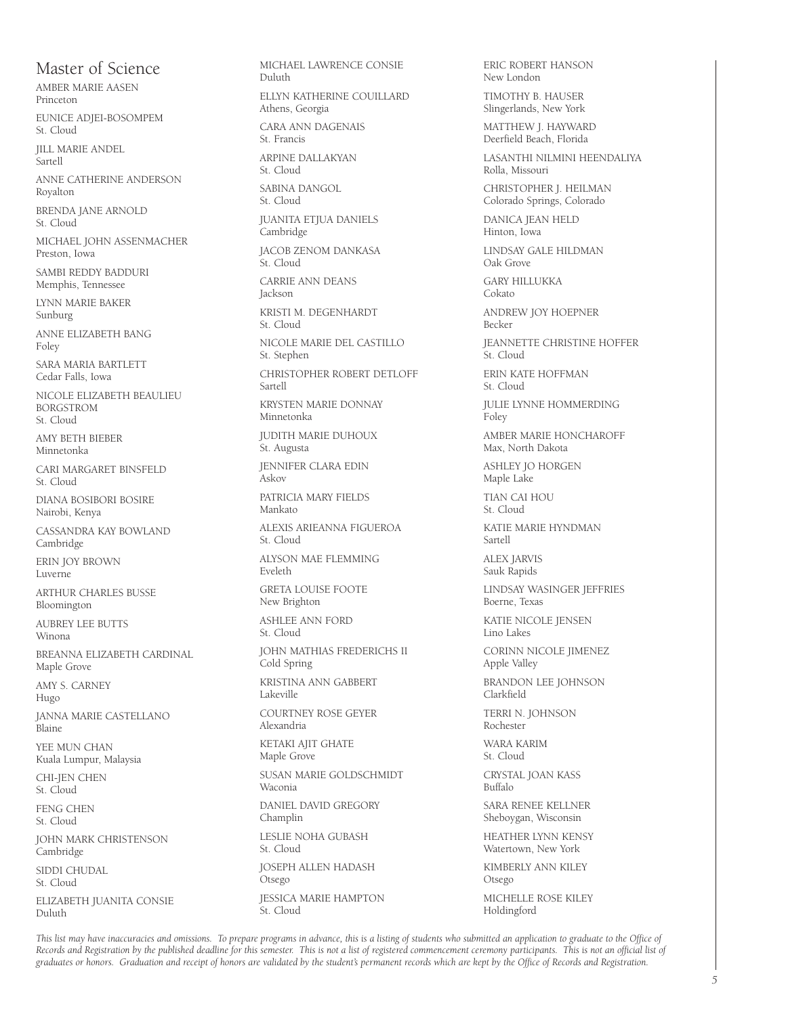# Master of Science

AMBER MARIE AASEN Princeton

EUNICE ADJEI-BOSOMPEM St. Cloud

JILL MARIE ANDEL Sartell

ANNE CATHERINE ANDERSON Royalton

BRENDA JANE ARNOLD St. Cloud

MICHAEL JOHN ASSENMACHER Preston, Iowa

SAMBI REDDY BADDURI Memphis, Tennessee

LYNN MARIE BAKER Sunburg

ANNE ELIZABETH BANG Foley

SARA MARIA BARTLETT Cedar Falls, Iowa

NICOLE ELIZABETH BEAULIEU BORGSTROM St. Cloud

AMY BETH BIEBER Minnetonka

CARI MARGARET BINSFELD St. Cloud

DIANA BOSIBORI BOSIRE Nairobi, Kenya

CASSANDRA KAY BOWLAND Cambridge

ERIN JOY BROWN Luverne

ARTHUR CHARLES BUSSE Bloomington

AUBREY LEE BUTTS Winona

BREANNA ELIZABETH CARDINAL Maple Grove

AMY S. CARNEY Hugo

JANNA MARIE CASTELLANO Blaine

YEE MUN CHAN Kuala Lumpur, Malaysia

CHI-JEN CHEN St. Cloud

FENG CHEN St. Cloud

JOHN MARK CHRISTENSON Cambridge SIDDI CHUDAL St. Cloud ELIZABETH JUANITA CONSIE

Duluth

MICHAEL LAWRENCE CONSIE Duluth ELLYN KATHERINE COUILLARD Athens, Georgia CARA ANN DAGENAIS St. Francis ARPINE DALLAKYAN St. Cloud SABINA DANGOL St. Cloud JUANITA ETJUA DANIELS Cambridge JACOB ZENOM DANKASA St. Cloud CARRIE ANN DEANS Jackson KRISTI M. DEGENHARDT St. Cloud NICOLE MARIE DEL CASTILLO St. Stephen CHRISTOPHER ROBERT DETLOFF Sartell KRYSTEN MARIE DONNAY Minnetonka JUDITH MARIE DUHOUX St. Augusta JENNIFER CLARA EDIN Askov PATRICIA MARY FIELDS Mankato ALEXIS ARIEANNA FIGUEROA St. Cloud ALYSON MAE FLEMMING Eveleth GRETA LOUISE FOOTE New Brighton ASHLEE ANN FORD St. Cloud JOHN MATHIAS FREDERICHS II Cold Spring KRISTINA ANN GABBERT Lakeville COURTNEY ROSE GEYER Alexandria KETAKI AJIT GHATE Maple Grove SUSAN MARIE GOLDSCHMIDT Waconia DANIEL DAVID GREGORY Champlin LESLIE NOHA GUBASH St. Cloud JOSEPH ALLEN HADASH Otsego

ERIC ROBERT HANSON New London TIMOTHY B. HAUSER Slingerlands, New York MATTHEW J. HAYWARD Deerfield Beach, Florida

LASANTHI NILMINI HEENDALIYA Rolla, Missouri CHRISTOPHER J. HEILMAN Colorado Springs, Colorado

DANICA JEAN HELD Hinton, Iowa

LINDSAY GALE HILDMAN Oak Grove

GARY HILLUKKA Cokato

ANDREW JOY HOEPNER Becker

JEANNETTE CHRISTINE HOFFER St. Cloud

ERIN KATE HOFFMAN St. Cloud

JULIE LYNNE HOMMERDING Foley

AMBER MARIE HONCHAROFF Max, North Dakota

ASHLEY JO HORGEN Maple Lake

TIAN CAI HOU St. Cloud

KATIE MARIE HYNDMAN Sartell

ALEX JARVIS Sauk Rapids

LINDSAY WASINGER JEFFRIES Boerne, Texas

KATIE NICOLE JENSEN Lino Lakes

CORINN NICOLE JIMENEZ Apple Valley

BRANDON LEE JOHNSON Clarkfield

TERRI N. JOHNSON Rochester

WARA KARIM St. Cloud

CRYSTAL JOAN KASS Buffalo

SARA RENEE KELLNER Sheboygan, Wisconsin

HEATHER LYNN KENSY Watertown, New York

KIMBERLY ANN KILEY Otsego

MICHELLE ROSE KILEY Holdingford

This list may have inaccuracies and omissions. To prepare programs in advance, this is a listing of students who submitted an application to graduate to the Office of Records and Registration by the published deadline for this semester. This is not a list of registered commencement ceremony participants. This is not an official list of graduates or honors. Graduation and receipt of honors are validated by the student's permanent records which are kept by the Office of Records and Registration.

JESSICA MARIE HAMPTON

St. Cloud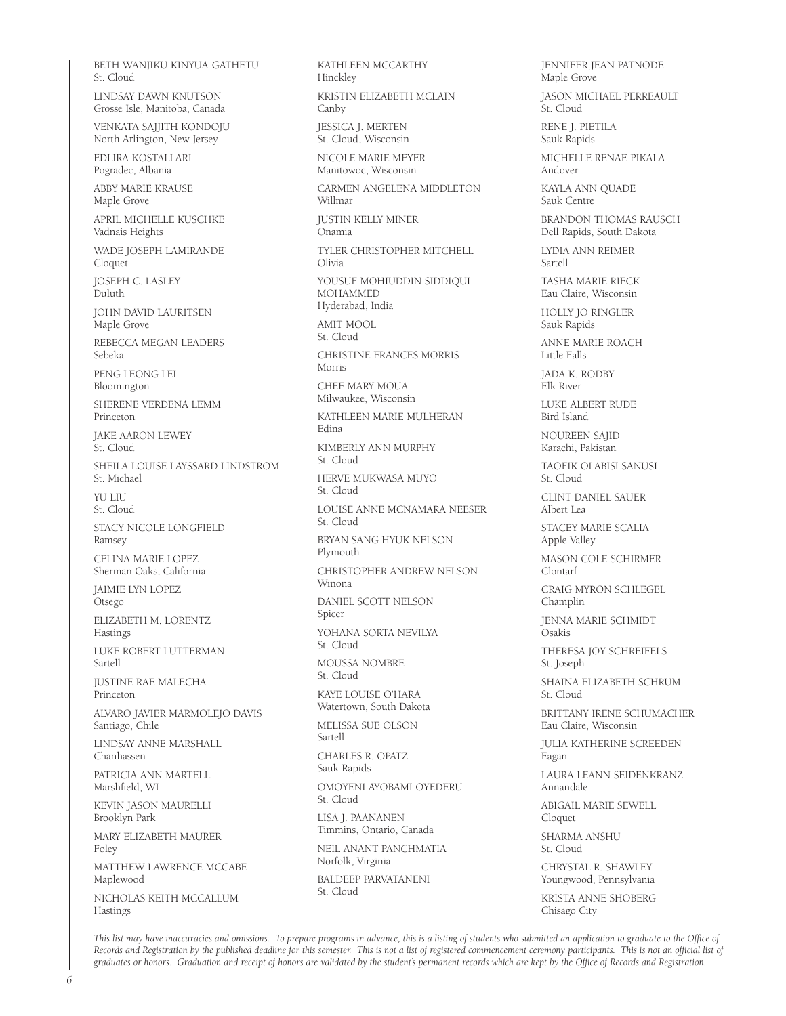BETH WANJIKU KINYUA-GATHETU St. Cloud LINDSAY DAWN KNUTSON Grosse Isle, Manitoba, Canada VENKATA SAJJITH KONDOJU North Arlington, New Jersey EDLIRA KOSTALLARI Pogradec, Albania ABBY MARIE KRAUSE Maple Grove APRIL MICHELLE KUSCHKE Vadnais Heights WADE JOSEPH LAMIRANDE Cloquet JOSEPH C. LASLEY Duluth JOHN DAVID LAURITSEN Maple Grove REBECCA MEGAN LEADERS Sebeka PENG LEONG LEI Bloomington SHERENE VERDENA LEMM Princeton JAKE AARON LEWEY St. Cloud SHEILA LOUISE LAYSSARD LINDSTROM St. Michael YU LILL St. Cloud STACY NICOLE LONGFIELD Ramsey CELINA MARIE LOPEZ Sherman Oaks, California JAIMIE LYN LOPEZ Otsego ELIZABETH M. LORENTZ Hastings LUKE ROBERT LUTTERMAN Sartell JUSTINE RAE MALECHA Princeton ALVARO JAVIER MARMOLEJO DAVIS Santiago, Chile LINDSAY ANNE MARSHALL Chanhassen PATRICIA ANN MARTELL Marshfield, WI KEVIN JASON MAURELLI Brooklyn Park MARY ELIZABETH MAURER Foley MATTHEW LAWRENCE MCCABE Maplewood NICHOLAS KEITH MCCALLUM Hastings

KATHLEEN MCCARTHY Hinckley KRISTIN ELIZABETH MCLAIN Canby JESSICA J. MERTEN St. Cloud, Wisconsin NICOLE MARIE MEYER Manitowoc, Wisconsin CARMEN ANGELENA MIDDLETON Willmar JUSTIN KELLY MINER Onamia TYLER CHRISTOPHER MITCHELL Olivia YOUSUF MOHIUDDIN SIDDIQUI MOHAMMED Hyderabad, India AMIT MOOL St. Cloud CHRISTINE FRANCES MORRIS Morris CHEE MARY MOUA Milwaukee, Wisconsin KATHLEEN MARIE MULHERAN Edina KIMBERLY ANN MURPHY St. Cloud HERVE MUKWASA MUYO St. Cloud LOUISE ANNE MCNAMARA NEESER St. Cloud BRYAN SANG HYUK NELSON Plymouth CHRISTOPHER ANDREW NELSON Winona DANIEL SCOTT NELSON Spicer YOHANA SORTA NEVILYA St. Cloud MOUSSA NOMBRE St. Cloud KAYE LOUISE O'HARA Watertown, South Dakota MELISSA SUE OLSON Sartell CHARLES R. OPATZ Sauk Rapids OMOYENI AYOBAMI OYEDERU St. Cloud LISA J. PAANANEN Timmins, Ontario, Canada NEIL ANANT PANCHMATIA Norfolk, Virginia BALDEEP PARVATANENI St. Cloud

JENNIFER JEAN PATNODE Maple Grove

JASON MICHAEL PERREAULT St. Cloud

RENE J. PIETILA Sauk Rapids

MICHELLE RENAE PIKALA Andover

KAYLA ANN QUADE Sauk Centre

BRANDON THOMAS RAUSCH Dell Rapids, South Dakota

LYDIA ANN REIMER Sartell

TASHA MARIE RIECK Eau Claire, Wisconsin

HOLLY JO RINGLER Sauk Rapids

ANNE MARIE ROACH Little Falls

JADA K. RODBY Elk River

LUKE ALBERT RUDE Bird Island

NOUREEN SAJID Karachi, Pakistan

TAOFIK OLABISI SANUSI St. Cloud

CLINT DANIEL SAUER Albert Lea

STACEY MARIE SCALIA Apple Valley

MASON COLE SCHIRMER Clontarf

CRAIG MYRON SCHLEGEL Champlin

JENNA MARIE SCHMIDT Osakis

THERESA JOY SCHREIFELS St. Joseph

SHAINA ELIZABETH SCHRUM St. Cloud

BRITTANY IRENE SCHUMACHER Eau Claire, Wisconsin

JULIA KATHERINE SCREEDEN Eagan

LAURA LEANN SEIDENKRANZ Annandale

ABIGAIL MARIE SEWELL Cloquet

SHARMA ANSHU St. Cloud

CHRYSTAL R. SHAWLEY Youngwood, Pennsylvania

KRISTA ANNE SHOBERG Chisago City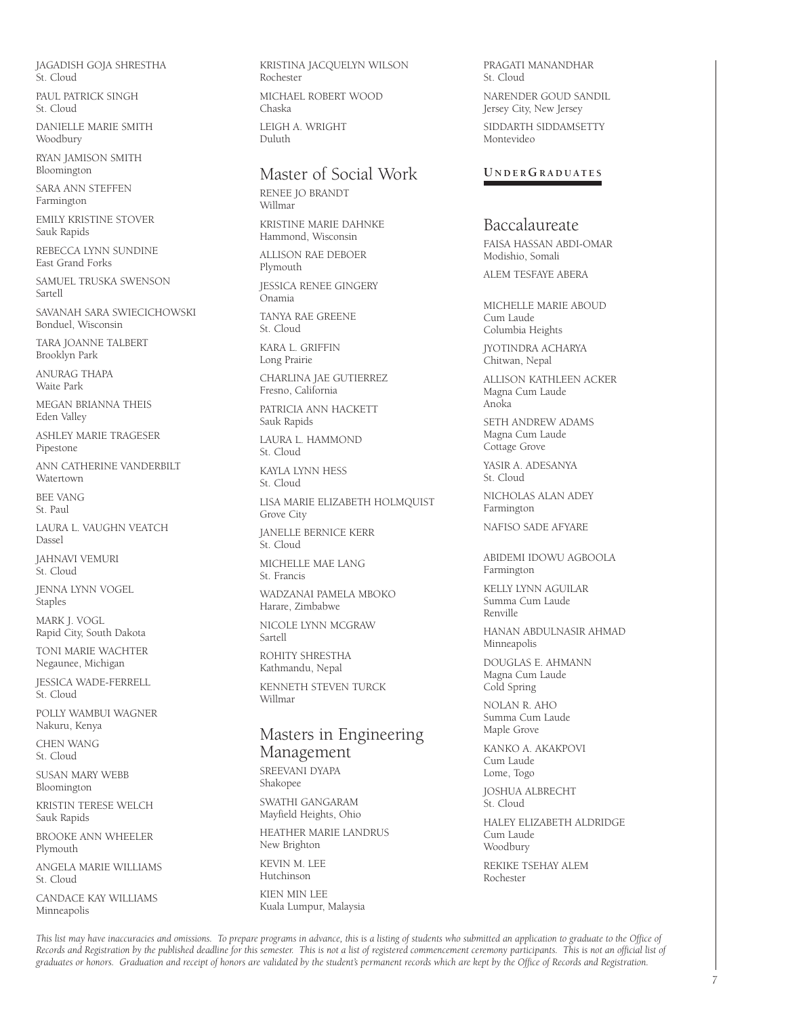JAGADISH GOJA SHRESTHA St. Cloud

PAUL PATRICK SINGH St. Cloud

DANIELLE MARIE SMITH Woodbury

RYAN JAMISON SMITH Bloomington

SARA ANN STEFFEN Farmington

EMILY KRISTINE STOVER Sauk Rapids

REBECCA LYNN SUNDINE East Grand Forks

SAMUEL TRUSKA SWENSON Sartell

SAVANAH SARA SWIECICHOWSKI Bonduel, Wisconsin

TARA JOANNE TALBERT Brooklyn Park

ANURAG THAPA Waite Park

MEGAN BRIANNA THEIS Eden Valley

ASHLEY MARIE TRAGESER Pipestone

ANN CATHERINE VANDERBILT Watertown

BEE VANG St. Paul

LAURA L. VAUGHN VEATCH Dassel

JAHNAVI VEMURI St. Cloud

JENNA LYNN VOGEL Staples

MARK J. VOGL Rapid City, South Dakota

TONI MARIE WACHTER Negaunee, Michigan

JESSICA WADE-FERRELL St. Cloud

POLLY WAMBUI WAGNER Nakuru, Kenya

CHEN WANG St. Cloud

SUSAN MARY WEBB Bloomington

KRISTIN TERESE WELCH Sauk Rapids

BROOKE ANN WHEELER Plymouth

ANGELA MARIE WILLIAMS St. Cloud

CANDACE KAY WILLIAMS Minneapolis

KRISTINA JACQUELYN WILSON Rochester MICHAEL ROBERT WOOD

Chaska LEIGH A. WRIGHT Duluth

# Master of Social Work

RENEE JO BRANDT Willmar

KRISTINE MARIE DAHNKE Hammond, Wisconsin

ALLISON RAE DEBOER Plymouth JESSICA RENEE GINGERY Onamia TANYA RAE GREENE St. Cloud KARA L. GRIFFIN Long Prairie CHARLINA JAE GUTIERREZ Fresno, California PATRICIA ANN HACKETT Sauk Rapids LAURA L. HAMMOND St. Cloud KAYLA LYNN HESS St. Cloud LISA MARIE ELIZABETH HOLMQUIST Grove City JANELLE BERNICE KERR St. Cloud MICHELLE MAE LANG St. Francis WADZANAI PAMELA MBOKO Harare, Zimbabwe NICOLE LYNN MCGRAW Sartell ROHITY SHRESTHA Kathmandu, Nepal KENNETH STEVEN TURCK Willmar

# Masters in Engineering Management SREEVANI DYAPA

Shakopee SWATHI GANGARAM Mayfield Heights, Ohio

HEATHER MARIE LANDRUS New Brighton

KEVIN M. LEE Hutchinson KIEN MIN LEE

Kuala Lumpur, Malaysia

PRAGATI MANANDHAR St. Cloud

NARENDER GOUD SANDIL Jersey City, New Jersey

SIDDARTH SIDDAMSETTY Montevideo

#### **U N D E RGR A D U AT E S**

# Baccalaureate

FAISA HASSAN ABDI-OMAR Modishio, Somali

ALEM TESFAYE ABERA

MICHELLE MARIE ABOUD Cum Laude Columbia Heights

JYOTINDRA ACHARYA Chitwan, Nepal

ALLISON KATHLEEN ACKER Magna Cum Laude Anoka

SETH ANDREW ADAMS Magna Cum Laude Cottage Grove

YASIR A. ADESANYA St. Cloud

NICHOLAS ALAN ADEY Farmington

NAFISO SADE AFYARE

ABIDEMI IDOWU AGBOOLA Farmington

KELLY LYNN AGUILAR Summa Cum Laude Renville

HANAN ABDULNASIR AHMAD Minneapolis

DOUGLAS E. AHMANN Magna Cum Laude Cold Spring

NOLAN R. AHO Summa Cum Laude Maple Grove

KANKO A. AKAKPOVI Cum Laude Lome, Togo

JOSHUA ALBRECHT St. Cloud

HALEY ELIZABETH ALDRIDGE Cum Laude Woodbury REKIKE TSEHAY ALEM Rochester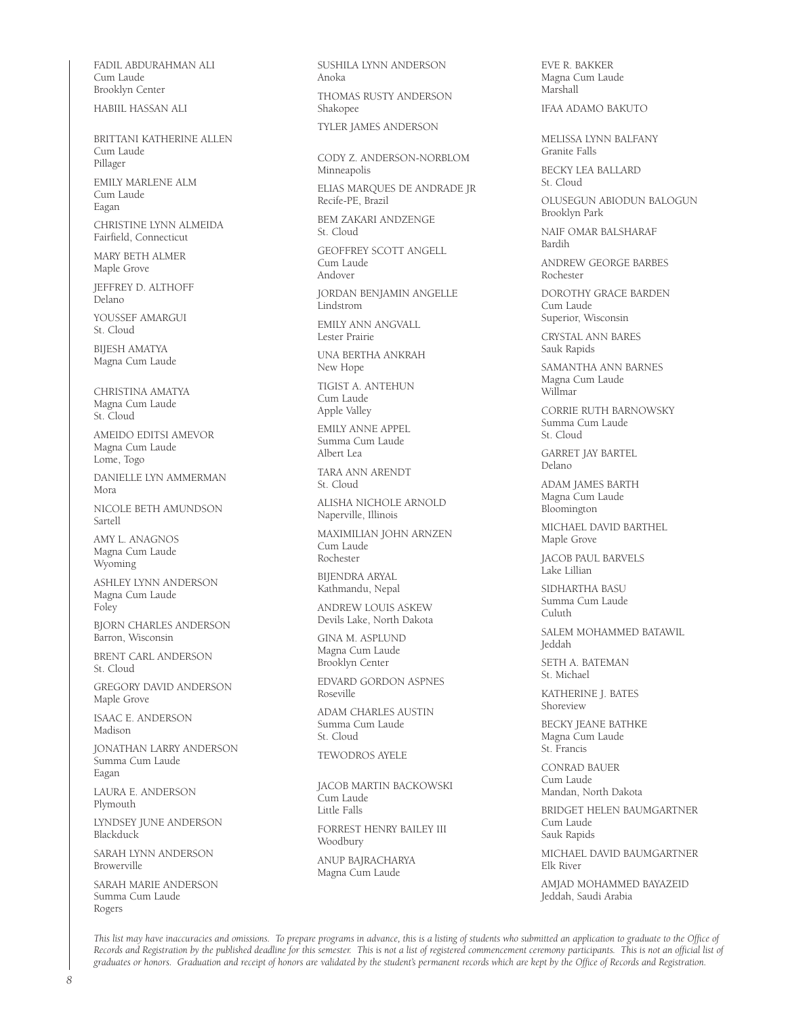FADIL ABDURAHMAN ALI Cum Laude Brooklyn Center HABIIL HASSAN ALI

BRITTANI KATHERINE ALLEN Cum Laude Pillager EMILY MARLENE ALM Cum Laude Eagan CHRISTINE LYNN ALMEIDA Fairfield, Connecticut

MARY BETH ALMER Maple Grove

JEFFREY D. ALTHOFF Delano YOUSSEF AMARGUI

St. Cloud BIJESH AMATYA

Magna Cum Laude

CHRISTINA AMATYA Magna Cum Laude St. Cloud

AMEIDO EDITSI AMEVOR Magna Cum Laude Lome, Togo

DANIELLE LYN AMMERMAN Mora

NICOLE BETH AMUNDSON Sartell

AMY L. ANAGNOS Magna Cum Laude Wyoming

ASHLEY LYNN ANDERSON Magna Cum Laude Foley

BJORN CHARLES ANDERSON Barron, Wisconsin

BRENT CARL ANDERSON St. Cloud

GREGORY DAVID ANDERSON Maple Grove

ISAAC E. ANDERSON Madison

JONATHAN LARRY ANDERSON Summa Cum Laude Eagan

LAURA E. ANDERSON Plymouth

LYNDSEY JUNE ANDERSON Blackduck

SARAH LYNN ANDERSON Browerville

SARAH MARIE ANDERSON Summa Cum Laude Rogers

SUSHILA LYNN ANDERSON Anoka THOMAS RUSTY ANDERSON Shakopee TYLER JAMES ANDERSON

CODY Z. ANDERSON-NORBLOM

Minneapolis

ELIAS MARQUES DE ANDRADE JR Recife-PE, Brazil

BEM ZAKARI ANDZENGE St. Cloud

GEOFFREY SCOTT ANGELL Cum Laude Andover

JORDAN BENJAMIN ANGELLE Lindstrom

EMILY ANN ANGVALL Lester Prairie

UNA BERTHA ANKRAH New Hope

TIGIST A. ANTEHUN Cum Laude Apple Valley

EMILY ANNE APPEL Summa Cum Laude Albert Lea

TARA ANN ARENDT St. Cloud

ALISHA NICHOLE ARNOLD Naperville, Illinois

MAXIMILIAN JOHN ARNZEN Cum Laude Rochester

BIJENDRA ARYAL Kathmandu, Nepal

ANDREW LOUIS ASKEW Devils Lake, North Dakota

GINA M. ASPLUND Magna Cum Laude Brooklyn Center

EDVARD GORDON ASPNES Roseville

ADAM CHARLES AUSTIN Summa Cum Laude St. Cloud

TEWODROS AYELE

JACOB MARTIN BACKOWSKI Cum Laude Little Falls

FORREST HENRY BAILEY III Woodbury

ANUP BAJRACHARYA Magna Cum Laude

EVE R. BAKKER Magna Cum Laude Marshall

#### IFAA ADAMO BAKUTO

MELISSA LYNN BALFANY Granite Falls

BECKY LEA BALLARD St. Cloud

OLUSEGUN ABIODUN BALOGUN Brooklyn Park

NAIF OMAR BALSHARAF Bardih

ANDREW GEORGE BARBES Rochester

DOROTHY GRACE BARDEN Cum Laude Superior, Wisconsin

CRYSTAL ANN BARES Sauk Rapids

SAMANTHA ANN BARNES Magna Cum Laude Willmar

CORRIE RUTH BARNOWSKY Summa Cum Laude St. Cloud

GARRET JAY BARTEL Delano

ADAM JAMES BARTH Magna Cum Laude Bloomington

MICHAEL DAVID BARTHEL Maple Grove

JACOB PAUL BARVELS .<br>Lake Lillian

SIDHARTHA BASU Summa Cum Laude Culuth

SALEM MOHAMMED BATAWIL Jeddah

SETH A. BATEMAN St. Michael

KATHERINE J. BATES Shoreview

BECKY JEANE BATHKE Magna Cum Laude St. Francis

CONRAD BAUER Cum Laude Mandan, North Dakota

BRIDGET HELEN BAUMGARTNER Cum Laude Sauk Rapids

MICHAEL DAVID BAUMGARTNER Elk River

AMJAD MOHAMMED BAYAZEID Jeddah, Saudi Arabia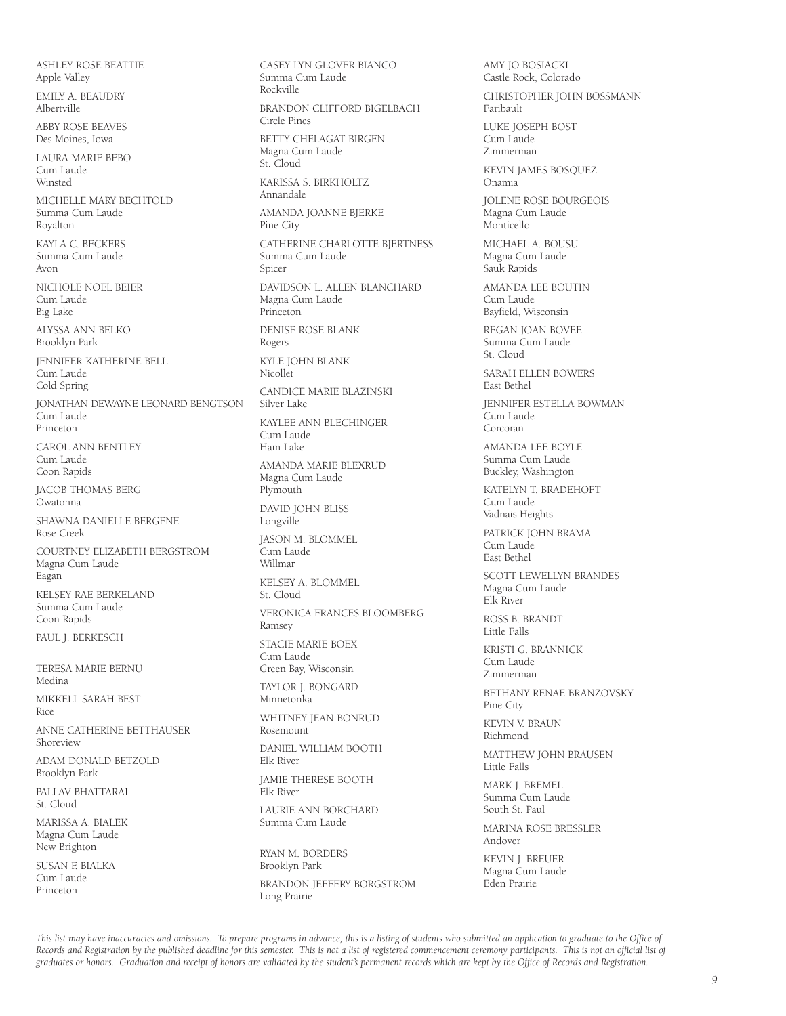ASHLEY ROSE BEATTIE Apple Valley

EMILY A. BEAUDRY Albertville

ABBY ROSE BEAVES Des Moines, Iowa

LAURA MARIE BEBO Cum Laude Winsted

MICHELLE MARY BECHTOLD Summa Cum Laude Royalton

KAYLA C. BECKERS Summa Cum Laude Avon

NICHOLE NOEL BEIER Cum Laude Big Lake

ALYSSA ANN BELKO Brooklyn Park

JENNIFER KATHERINE BELL Cum Laude Cold Spring

JONATHAN DEWAYNE LEONARD BENGTSON Cum Laude Princeton

CAROL ANN BENTLEY Cum Laude Coon Rapids

JACOB THOMAS BERG Owatonna

SHAWNA DANIELLE BERGENE Rose Creek

COURTNEY ELIZABETH BERGSTROM Magna Cum Laude Eagan

KELSEY RAE BERKELAND Summa Cum Laude Coon Rapids

PAUL J. BERKESCH

TERESA MARIE BERNU Medina MIKKELL SARAH BEST

Rice

ANNE CATHERINE BETTHAUSER Shoreview

ADAM DONALD BETZOLD Brooklyn Park

PALLAV BHATTARAI St. Cloud

MARISSA A. BIALEK Magna Cum Laude New Brighton

SUSAN F. BIALKA Cum Laude Princeton

Summa Cum Laude Rockville BRANDON CLIFFORD BIGELBACH Circle Pines BETTY CHELAGAT BIRGEN Magna Cum Laude St. Cloud KARISSA S. BIRKHOLTZ Annandale AMANDA JOANNE BJERKE Pine City CATHERINE CHARLOTTE BJERTNESS Summa Cum Laude Spicer DAVIDSON L. ALLEN BLANCHARD Magna Cum Laude Princeton DENISE ROSE BLANK Rogers KYLE JOHN BLANK Nicollet CANDICE MARIE BLAZINSKI Silver Lake KAYLEE ANN BLECHINGER Cum Laude Ham Lake AMANDA MARIE BLEXRUD Magna Cum Laude Plymouth DAVID JOHN BLISS Longville JASON M. BLOMMEL Cum Laude Willmar KELSEY A. BLOMMEL St. Cloud VERONICA FRANCES BLOOMBERG Ramsey STACIE MARIE BOEX Cum Laude Green Bay, Wisconsin TAYLOR J. BONGARD Minnetonka WHITNEY JEAN BONRUD Rosemount DANIEL WILLIAM BOOTH Elk River JAMIE THERESE BOOTH Elk River LAURIE ANN BORCHARD Summa Cum Laude RYAN M. BORDERS

CASEY LYN GLOVER BIANCO

Brooklyn Park BRANDON JEFFERY BORGSTROM Long Prairie

AMY JO BOSIACKI Castle Rock, Colorado CHRISTOPHER JOHN BOSSMANN Faribault LUKE JOSEPH BOST Cum Laude Zimmerman KEVIN JAMES BOSQUEZ Onamia JOLENE ROSE BOURGEOIS Magna Cum Laude Monticello MICHAEL A. BOUSU Magna Cum Laude Sauk Rapids AMANDA LEE BOUTIN Cum Laude Bayfield, Wisconsin REGAN JOAN BOVEE Summa Cum Laude St. Cloud SARAH ELLEN BOWERS East Bethel JENNIFER ESTELLA BOWMAN Cum Laude Corcoran AMANDA LEE BOYLE Summa Cum Laude Buckley, Washington KATELYN T. BRADEHOFT Cum Laude Vadnais Heights PATRICK JOHN BRAMA Cum Laude East Bethel SCOTT LEWELLYN BRANDES Magna Cum Laude Elk River ROSS B. BRANDT Little Falls KRISTI G. BRANNICK Cum Laude Zimmerman BETHANY RENAE BRANZOVSKY Pine City KEVIN V. BRAUN Richmond MATTHEW JOHN BRAUSEN Little Falls MARK J. BREMEL Summa Cum Laude South St. Paul MARINA ROSE BRESSLER Andover KEVIN J. BREUER Magna Cum Laude

Eden Prairie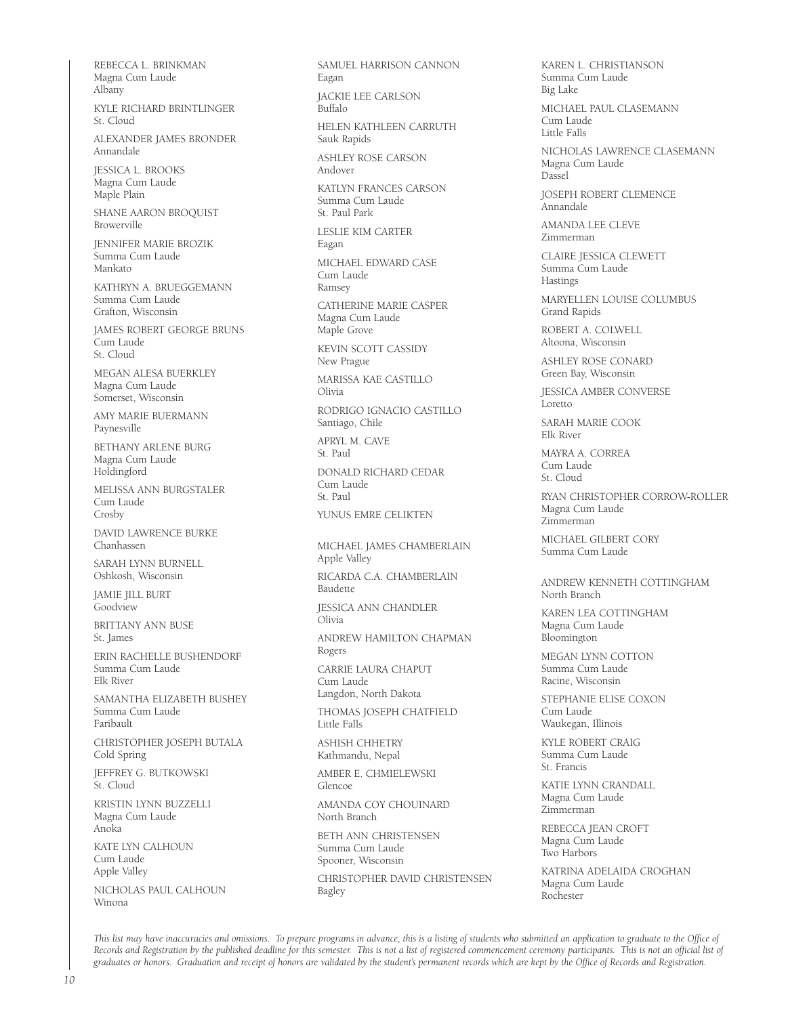REBECCA L. BRINKMAN Magna Cum Laude Albany

KYLE RICHARD BRINTLINGER St. Cloud

ALEXANDER JAMES BRONDER Annandale

JESSICA L. BROOKS Magna Cum Laude Maple Plain

SHANE AARON BROQUIST Browerville

JENNIFER MARIE BROZIK Summa Cum Laude Mankato

KATHRYN A. BRUEGGEMANN Summa Cum Laude Grafton, Wisconsin

JAMES ROBERT GEORGE BRUNS Cum Laude St. Cloud

MEGAN ALESA BUERKLEY Magna Cum Laude Somerset, Wisconsin

AMY MARIE BUERMANN Paynesville

BETHANY ARLENE BURG Magna Cum Laude Holdingford

MELISSA ANN BURGSTALER Cum Laude Crosby

DAVID LAWRENCE BURKE Chanhassen

SARAH LYNN BURNELL Oshkosh, Wisconsin

JAMIE JILL BURT **Goodview** 

BRITTANY ANN BUSE St. James

ERIN RACHELLE BUSHENDORF Summa Cum Laude Elk River

SAMANTHA ELIZABETH BUSHEY Summa Cum Laude Faribault

CHRISTOPHER JOSEPH BUTALA Cold Spring

JEFFREY G. BUTKOWSKI St. Cloud

KRISTIN LYNN BUZZELLI Magna Cum Laude Anoka

KATE LYN CALHOUN Cum Laude Apple Valley

NICHOLAS PAUL CALHOUN Winona

SAMUEL HARRISON CANNON Eagan

JACKIE LEE CARLSON Buffalo

HELEN KATHLEEN CARRUTH Sauk Rapids

ASHLEY ROSE CARSON Andover

KATLYN FRANCES CARSON Summa Cum Laude St. Paul Park

LESLIE KIM CARTER Eagan

MICHAEL EDWARD CASE Cum Laude Ramsey

CATHERINE MARIE CASPER Magna Cum Laude Maple Grove

KEVIN SCOTT CASSIDY New Prague

MARISSA KAE CASTILLO Olivia

RODRIGO IGNACIO CASTILLO Santiago, Chile

APRYL M. CAVE St. Paul DONALD RICHARD CEDAR Cum Laude St. Paul YUNUS EMRE CELIKTEN

MICHAEL JAMES CHAMBERLAIN Apple Valley

RICARDA C.A. CHAMBERLAIN Baudette

JESSICA ANN CHANDLER Olivia

ANDREW HAMILTON CHAPMAN Rogers

CARRIE LAURA CHAPUT Cum Laude Langdon, North Dakota

THOMAS JOSEPH CHATFIELD Little Falls

ASHISH CHHETRY Kathmandu, Nepal

AMBER E. CHMIELEWSKI Glencoe

AMANDA COY CHOUINARD North Branch

BETH ANN CHRISTENSEN Summa Cum Laude Spooner, Wisconsin

CHRISTOPHER DAVID CHRISTENSEN Bagley

KAREN L. CHRISTIANSON Summa Cum Laude Big Lake

MICHAEL PAUL CLASEMANN Cum Laude Little Falls

NICHOLAS LAWRENCE CLASEMANN Magna Cum Laude Dassel

**JOSEPH ROBERT CLEMENCE** Annandale

AMANDA LEE CLEVE Zimmerman

CLAIRE JESSICA CLEWETT Summa Cum Laude Hastings

MARYELLEN LOUISE COLUMBUS Grand Rapids

ROBERT A. COLWELL Altoona, Wisconsin

ASHLEY ROSE CONARD Green Bay, Wisconsin

JESSICA AMBER CONVERSE Loretto

SARAH MARIE COOK Elk River

MAYRA A. CORREA Cum Laude St. Cloud

RYAN CHRISTOPHER CORROW-ROLLER Magna Cum Laude Zimmerman

MICHAEL GILBERT CORY Summa Cum Laude

ANDREW KENNETH COTTINGHAM North Branch

KAREN LEA COTTINGHAM Magna Cum Laude Bloomington

MEGAN LYNN COTTON Summa Cum Laude Racine, Wisconsin

STEPHANIE ELISE COXON Cum Laude Waukegan, Illinois

KYLE ROBERT CRAIG Summa Cum Laude St. Francis

KATIE LYNN CRANDALL Magna Cum Laude Zimmerman

REBECCA JEAN CROFT Magna Cum Laude Two Harbors

KATRINA ADELAIDA CROGHAN Magna Cum Laude Rochester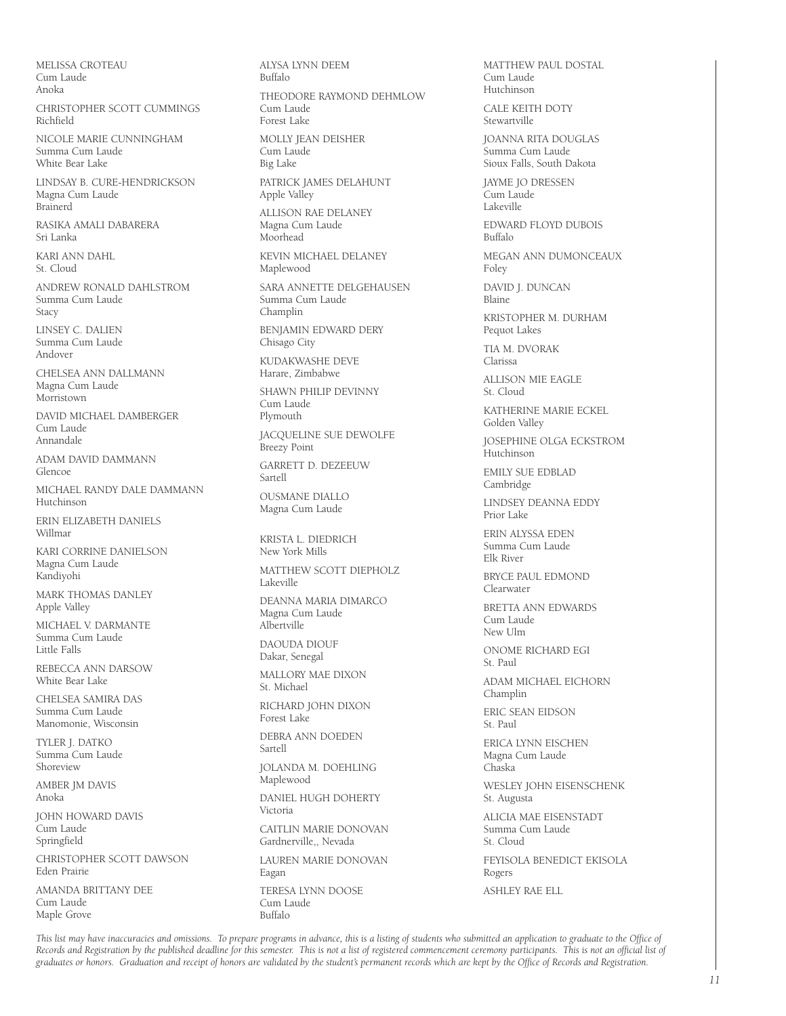MELISSA CROTEAU Cum Laude Anoka

CHRISTOPHER SCOTT CUMMINGS Richfield

NICOLE MARIE CUNNINGHAM Summa Cum Laude White Bear Lake

LINDSAY B. CURE-HENDRICKSON Magna Cum Laude Brainerd

RASIKA AMALI DABARERA Sri Lanka

KARI ANN DAHL St. Cloud

ANDREW RONALD DAHLSTROM Summa Cum Laude Stacy

LINSEY C. DALIEN Summa Cum Laude Andover

CHELSEA ANN DALLMANN Magna Cum Laude Morristown

DAVID MICHAEL DAMBERGER Cum Laude Annandale

ADAM DAVID DAMMANN Glencoe

MICHAEL RANDY DALE DAMMANN Hutchinson

ERIN ELIZABETH DANIELS Willmar

KARI CORRINE DANIELSON Magna Cum Laude Kandiyohi

MARK THOMAS DANLEY Apple Valley

MICHAEL V. DARMANTE Summa Cum Laude Little Falls

REBECCA ANN DARSOW White Bear Lake

CHELSEA SAMIRA DAS Summa Cum Laude Manomonie, Wisconsin

TYLER J. DATKO Summa Cum Laude Shoreview

AMBER JM DAVIS Anoka

JOHN HOWARD DAVIS Cum Laude Springfield

CHRISTOPHER SCOTT DAWSON Eden Prairie

AMANDA BRITTANY DEE Cum Laude Maple Grove

ALYSA LYNN DEEM Buffalo THEODORE RAYMOND DEHMLOW Cum Laude Forest Lake MOLLY JEAN DEISHER Cum Laude Big Lake PATRICK JAMES DELAHUNT Apple Valley ALLISON RAE DELANEY Magna Cum Laude Moorhead KEVIN MICHAEL DELANEY Maplewood SARA ANNETTE DELGEHAUSEN Summa Cum Laude Champlin BENJAMIN EDWARD DERY Chisago City KUDAKWASHE DEVE Harare, Zimbabwe SHAWN PHILIP DEVINNY Cum Laude Plymouth JACQUELINE SUE DEWOLFE Breezy Point GARRETT D. DEZEEUW Sartell OUSMANE DIALLO Magna Cum Laude KRISTA L. DIEDRICH New York Mills MATTHEW SCOTT DIEPHOLZ Lakeville DEANNA MARIA DIMARCO Magna Cum Laude Albertville DAOUDA DIOUF Dakar, Senegal MALLORY MAE DIXON St. Michael RICHARD JOHN DIXON Forest Lake DEBRA ANN DOEDEN Sartell

JOLANDA M. DOEHLING Maplewood

DANIEL HUGH DOHERTY Victoria

CAITLIN MARIE DONOVAN Gardnerville,, Nevada

LAUREN MARIE DONOVAN Eagan

TERESA LYNN DOOSE Cum Laude Buffalo

MATTHEW PAUL DOSTAL Cum Laude Hutchinson

CALE KEITH DOTY Stewartville

JOANNA RITA DOUGLAS Summa Cum Laude Sioux Falls, South Dakota

JAYME JO DRESSEN Cum Laude Lakeville

EDWARD FLOYD DUBOIS Buffalo

MEGAN ANN DUMONCEAUX Foley

DAVID J. DUNCAN Blaine

KRISTOPHER M. DURHAM Pequot Lakes

TIA M. DVORAK Clarissa

ALLISON MIE EAGLE St. Cloud

KATHERINE MARIE ECKEL Golden Valley

JOSEPHINE OLGA ECKSTROM **Hutchinson** 

EMILY SUE EDBLAD Cambridge

LINDSEY DEANNA EDDY Prior Lake

ERIN ALYSSA EDEN Summa Cum Laude Elk River

BRYCE PAUL EDMOND Clearwater

BRETTA ANN EDWARDS Cum Laude New Ulm

ONOME RICHARD EGI St. Paul

ADAM MICHAEL EICHORN Champlin

ERIC SEAN EIDSON St. Paul

ERICA LYNN EISCHEN Magna Cum Laude Chaska

WESLEY JOHN EISENSCHENK St. Augusta

ALICIA MAE EISENSTADT Summa Cum Laude St. Cloud

FEYISOLA BENEDICT EKISOLA Rogers

ASHLEY RAE ELL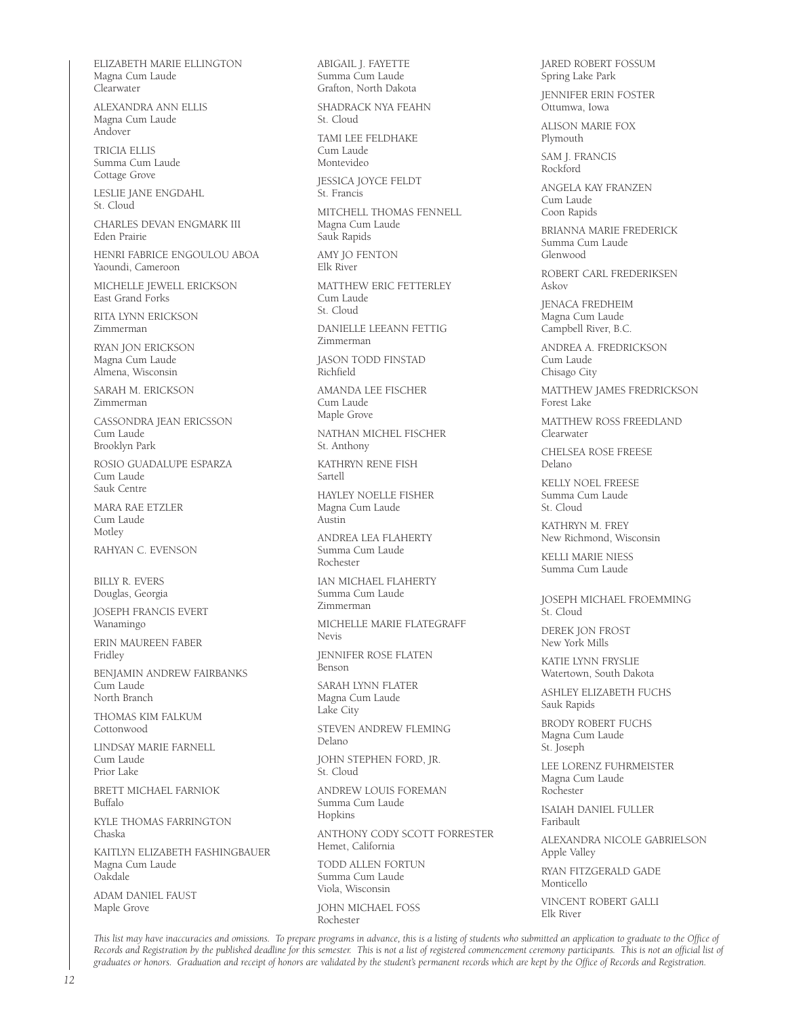ELIZABETH MARIE ELLINGTON Magna Cum Laude Clearwater

ALEXANDRA ANN ELLIS Magna Cum Laude Andover

TRICIA ELLIS Summa Cum Laude Cottage Grove

LESLIE JANE ENGDAHL St. Cloud

CHARLES DEVAN ENGMARK III Eden Prairie

HENRI FABRICE ENGOULOU ABOA Yaoundi, Cameroon

MICHELLE JEWELL ERICKSON East Grand Forks

RITA LYNN ERICKSON Zimmerman

RYAN JON ERICKSON Magna Cum Laude Almena, Wisconsin

SARAH M. ERICKSON Zimmerman

CASSONDRA JEAN ERICSSON Cum Laude Brooklyn Park

ROSIO GUADALUPE ESPARZA Cum Laude Sauk Centre

MARA RAE ETZLER Cum Laude Motley

RAHYAN C. EVENSON

BILLY R. EVERS Douglas, Georgia

JOSEPH FRANCIS EVERT Wanamingo

ERIN MAUREEN FABER Fridley

BENJAMIN ANDREW FAIRBANKS Cum Laude North Branch

THOMAS KIM FALKUM Cottonwood

LINDSAY MARIE FARNELL Cum Laude Prior Lake

BRETT MICHAEL FARNIOK Buffalo

KYLE THOMAS FARRINGTON Chaska

KAITLYN ELIZABETH FASHINGBAUER Magna Cum Laude Oakdale

ADAM DANIEL FAUST Maple Grove

ABIGAIL J. FAYETTE Summa Cum Laude Grafton, North Dakota

SHADRACK NYA FEAHN St. Cloud

TAMI I FF FFI DHAKE Cum Laude Montevideo

JESSICA JOYCE FELDT St. Francis

MITCHELL THOMAS FENNELL Magna Cum Laude Sauk Rapids

AMY JO FENTON Elk River

MATTHEW ERIC FETTERLEY Cum Laude St. Cloud

DANIELLE LEEANN FETTIG Zimmerman

JASON TODD FINSTAD Richfield

AMANDA LEE FISCHER Cum Laude Maple Grove

NATHAN MICHEL FISCHER St. Anthony

KATHRYN RENE FISH Sartell

HAYLEY NOELLE FISHER Magna Cum Laude Austin

ANDREA LEA FLAHERTY Summa Cum Laude Rochester

IAN MICHAEL FLAHERTY Summa Cum Laude Zimmerman

MICHELLE MARIE FLATEGRAFF Nevis

JENNIFER ROSE FLATEN Benson

SARAH LYNN FLATER Magna Cum Laude Lake City

STEVEN ANDREW FLEMING Delano

JOHN STEPHEN FORD, JR. St. Cloud

ANDREW LOUIS FOREMAN Summa Cum Laude Hopkins

ANTHONY CODY SCOTT FORRESTER Hemet, California

TODD ALLEN FORTUN Summa Cum Laude Viola, Wisconsin JOHN MICHAEL FOSS

Rochester

JARED ROBERT FOSSUM Spring Lake Park

JENNIFER ERIN FOSTER Ottumwa, Iowa

ALISON MARIE FOX Plymouth

SAM J. FRANCIS Rockford

ANGELA KAY FRANZEN Cum Laude Coon Rapids

BRIANNA MARIE FREDERICK Summa Cum Laude Glenwood

ROBERT CARL FREDERIKSEN Askov

JENACA FREDHEIM Magna Cum Laude Campbell River, B.C.

ANDREA A. FREDRICKSON Cum Laude Chisago City

MATTHEW JAMES FREDRICKSON Forest Lake

MATTHEW ROSS FREEDLAND Clearwater

CHELSEA ROSE FREESE Delano

KELLY NOEL FREESE Summa Cum Laude St. Cloud

KATHRYN M. FREY New Richmond, Wisconsin

KELLI MARIE NIESS Summa Cum Laude

JOSEPH MICHAEL FROEMMING St. Cloud

DEREK JON FROST New York Mills

KATIF LYNN FRYSLIF Watertown, South Dakota

ASHLEY ELIZABETH FUCHS Sauk Rapids

BRODY ROBERT FUCHS Magna Cum Laude St. Joseph

LEE LORENZ FUHRMEISTER Magna Cum Laude Rochester

ISAIAH DANIEL FULLER Faribault

ALEXANDRA NICOLE GABRIELSON Apple Valley

RYAN FITZGERALD GADE Monticello

VINCENT ROBERT GALLI Elk River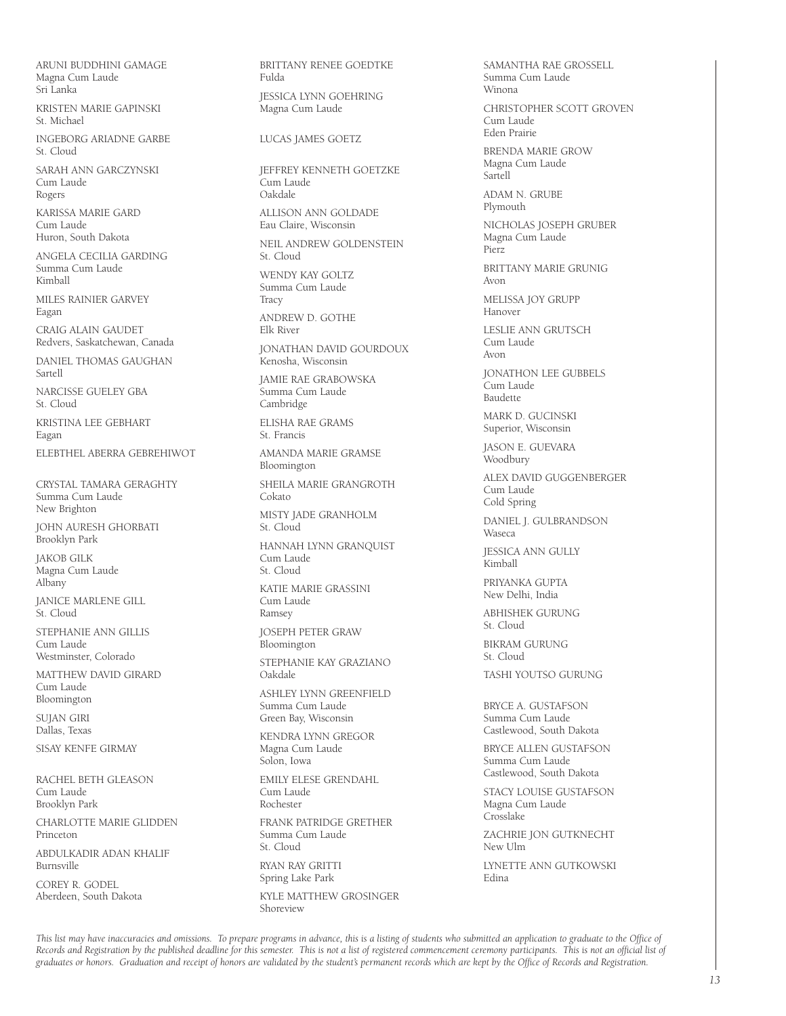ARUNI BUDDHINI GAMAGE Magna Cum Laude Sri Lanka

KRISTEN MARIE GAPINSKI St. Michael

INGEBORG ARIADNE GARBE St. Cloud

SARAH ANN GARCZYNSKI Cum Laude Rogers

KARISSA MARIE GARD Cum Laude Huron, South Dakota

ANGELA CECILIA GARDING Summa Cum Laude Kimball

MILES RAINIER GARVEY Eagan

CRAIG ALAIN GAUDET Redvers, Saskatchewan, Canada

DANIEL THOMAS GAUGHAN Sartell

NARCISSE GUELEY GBA St. Cloud

KRISTINA LEE GEBHART Eagan

ELEBTHEL ABERRA GEBREHIWOT

CRYSTAL TAMARA GERAGHTY Summa Cum Laude New Brighton

JOHN AURESH GHORBATI Brooklyn Park

JAKOB GILK Magna Cum Laude Albany

JANICE MARLENE GILL St. Cloud

STEPHANIE ANN GILLIS Cum Laude Westminster, Colorado

MATTHEW DAVID GIRARD Cum Laude Bloomington

SUJAN GIRI Dallas, Texas

SISAY KENFE GIRMAY

RACHEL BETH GLEASON Cum Laude Brooklyn Park

CHARLOTTE MARIE GLIDDEN Princeton

ABDULKADIR ADAN KHALIF Burnsville

COREY R. GODEL Aberdeen, South Dakota BRITTANY RENEE GOEDTKE Fulda JESSICA LYNN GOEHRING Magna Cum Laude LUCAS JAMES GOETZ JEFFREY KENNETH GOETZKE Cum Laude Oakdale ALLISON ANN GOLDADE Eau Claire, Wisconsin NEIL ANDREW GOLDENSTEIN St. Cloud WENDY KAY GOLTZ Summa Cum Laude **Tracy** ANDREW D. GOTHE Elk River JONATHAN DAVID GOURDOUX Kenosha, Wisconsin JAMIE RAE GRABOWSKA Summa Cum Laude Cambridge ELISHA RAE GRAMS St. Francis AMANDA MARIE GRAMSE Bloomington SHEILA MARIE GRANGROTH Cokato MISTY JADE GRANHOLM St. Cloud HANNAH LYNN GRANQUIST Cum Laude St. Cloud KATIE MARIE GRASSINI Cum Laude Ramsey JOSEPH PETER GRAW **Bloomington** STEPHANIE KAY GRAZIANO Oakdale ASHLEY LYNN GREENFIELD Summa Cum Laude Green Bay, Wisconsin KENDRA LYNN GREGOR Magna Cum Laude Solon, Iowa EMILY ELESE GRENDAHL Cum Laude Rochester FRANK PATRIDGE GRETHER

Summa Cum Laude St. Cloud RYAN RAY GRITTI

Spring Lake Park

KYLE MATTHEW GROSINGER Shoreview

SAMANTHA RAE GROSSELL Summa Cum Laude Winona CHRISTOPHER SCOTT GROVEN Cum Laude Eden Prairie BRENDA MARIE GROW Magna Cum Laude Sartell ADAM N. GRUBE Plymouth NICHOLAS JOSEPH GRUBER Magna Cum Laude Pierz BRITTANY MARIE GRUNIG Avon MELISSA JOY GRUPP Hanover LESLIE ANN GRUTSCH Cum Laude Avon JONATHON LEE GUBBELS Cum Laude Baudette MARK D. GUCINSKI Superior, Wisconsin JASON E. GUEVARA Woodbury ALEX DAVID GUGGENBERGER Cum Laude Cold Spring DANIEL J. GULBRANDSON Waseca JESSICA ANN GULLY Kimball PRIYANKA GUPTA New Delhi, India ABHISHEK GURUNG St. Cloud BIKRAM GURUNG St. Cloud TASHI YOUTSO GURUNG BRYCE A. GUSTAFSON Summa Cum Laude Castlewood, South Dakota BRYCE ALLEN GUSTAFSON Summa Cum Laude Castlewood, South Dakota STACY LOUISE GUSTAFSON Magna Cum Laude Crosslake

ZACHRIE JON GUTKNECHT New Ulm

LYNETTE ANN GUTKOWSKI Edina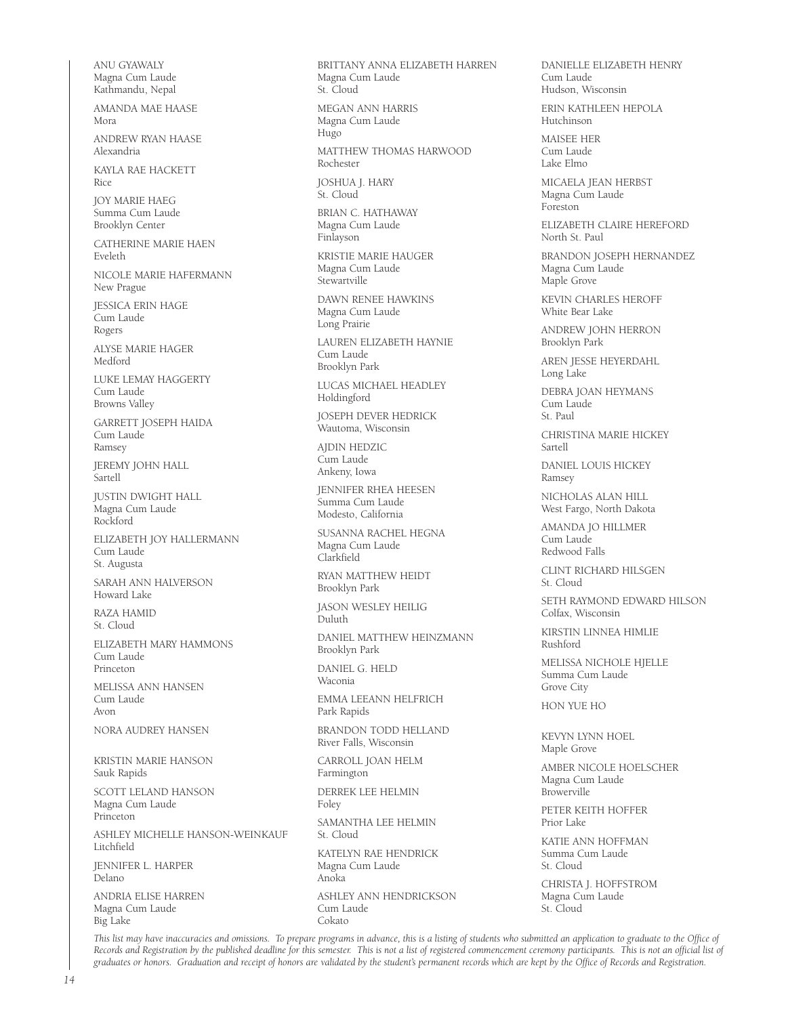ANU GYAWALY Magna Cum Laude Kathmandu, Nepal AMANDA MAE HAASE Mora ANDREW RYAN HAASE Alexandria KAYLA RAE HACKETT Rice JOY MARIE HAEG Summa Cum Laude Brooklyn Center CATHERINE MARIE HAEN Eveleth NICOLE MARIE HAFERMANN New Prague JESSICA ERIN HAGE Cum Laude Rogers ALYSE MARIE HAGER Medford LUKE LEMAY HAGGERTY Cum Laude Browns Valley GARRETT JOSEPH HAIDA Cum Laude Ramsey JEREMY JOHN HALL Sartell JUSTIN DWIGHT HALL Magna Cum Laude Rockford ELIZABETH JOY HALLERMANN Cum Laude St. Augusta SARAH ANN HALVERSON Howard Lake RAZA HAMID St. Cloud ELIZABETH MARY HAMMONS Cum Laude Princeton MELISSA ANN HANSEN Cum Laude Avon NORA AUDREY HANSEN KRISTIN MARIE HANSON Sauk Rapids SCOTT LELAND HANSON Magna Cum Laude Princeton ASHLEY MICHELLE HANSON-WEINKAUF Litchfield JENNIFER L. HARPER Delano ANDRIA ELISE HARREN Magna Cum Laude Big Lake

BRITTANY ANNA ELIZABETH HARREN Magna Cum Laude St. Cloud MEGAN ANN HARRIS Magna Cum Laude Hugo MATTHEW THOMAS HARWOOD Rochester JOSHUA J. HARY St. Cloud BRIAN C. HATHAWAY Magna Cum Laude Finlayson KRISTIE MARIE HAUGER Magna Cum Laude Stewartville DAWN RENEE HAWKINS Magna Cum Laude Long Prairie LAUREN ELIZABETH HAYNIE Cum Laude Brooklyn Park LUCAS MICHAEL HEADLEY Holdingford JOSEPH DEVER HEDRICK Wautoma, Wisconsin AJDIN HEDZIC Cum Laude Ankeny, Iowa JENNIFER RHEA HEESEN Summa Cum Laude Modesto, California SUSANNA RACHEL HEGNA Magna Cum Laude Clarkfield RYAN MATTHEW HEIDT Brooklyn Park JASON WESLEY HEILIG Duluth DANIEL MATTHEW HEINZMANN Brooklyn Park DANIEL G. HELD Waconia EMMA LEEANN HELFRICH Park Rapids BRANDON TODD HELLAND River Falls, Wisconsin CARROLL JOAN HELM Farmington DERREK LEE HELMIN Foley SAMANTHA LEE HELMIN St. Cloud KATELYN RAE HENDRICK Magna Cum Laude Anoka ASHLEY ANN HENDRICKSON Cum Laude Cokato

DANIELLE ELIZABETH HENRY Cum Laude Hudson, Wisconsin ERIN KATHLEEN HEPOLA

Hutchinson MAISEE HER

Cum Laude Lake Elmo

MICAELA JEAN HERBST Magna Cum Laude Foreston

ELIZABETH CLAIRE HEREFORD North St. Paul

BRANDON JOSEPH HERNANDEZ Magna Cum Laude Maple Grove

KEVIN CHARLES HEROFF White Bear Lake

ANDREW JOHN HERRON Brooklyn Park

AREN JESSE HEYERDAHL Long Lake

DEBRA JOAN HEYMANS Cum Laude St. Paul

CHRISTINA MARIE HICKEY Sartell

DANIEL LOUIS HICKEY Ramsey

NICHOLAS ALAN HILL West Fargo, North Dakota

AMANDA JO HILLMER Cum Laude Redwood Falls

CLINT RICHARD HILSGEN St. Cloud

SETH RAYMOND EDWARD HILSON Colfax, Wisconsin

KIRSTIN LINNEA HIMLIE Rushford

MELISSA NICHOLE HJELLE Summa Cum Laude Grove City

HON YUE HO

KEVYN LYNN HOEL Maple Grove

AMBER NICOLE HOELSCHER Magna Cum Laude Browerville

PETER KEITH HOFFER Prior Lake

KATIE ANN HOFFMAN Summa Cum Laude St. Cloud

CHRISTA J. HOFFSTROM Magna Cum Laude St. Cloud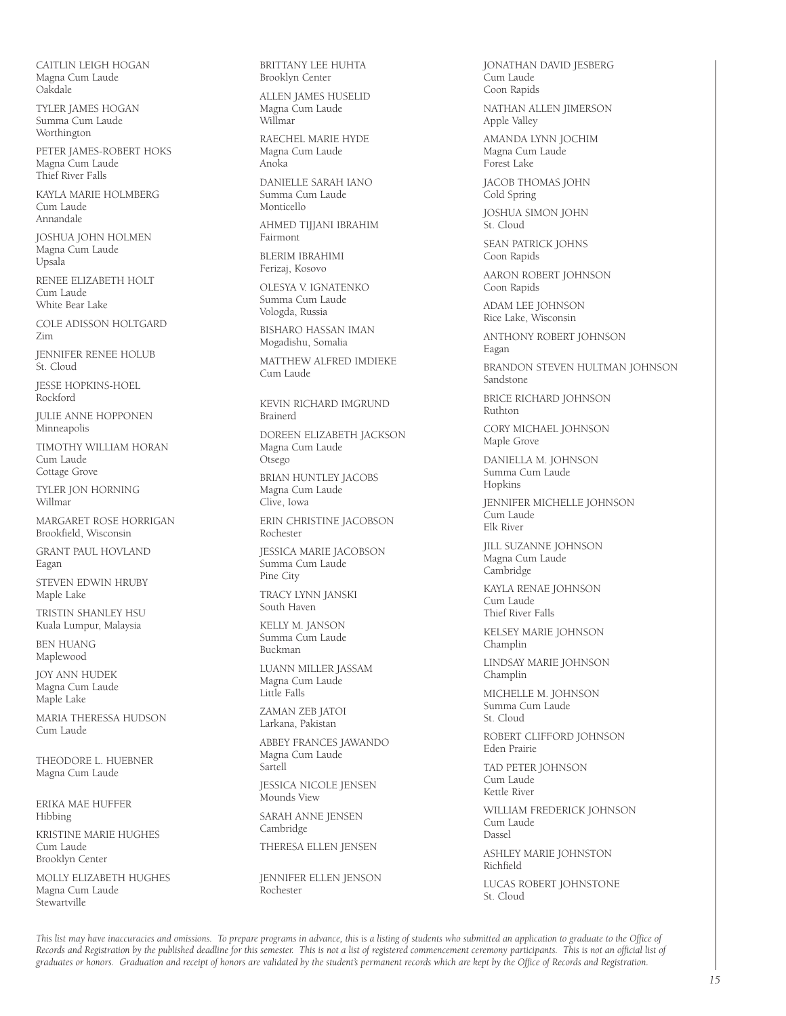CAITLIN LEIGH HOGAN Magna Cum Laude Oakdale

TYLER JAMES HOGAN Summa Cum Laude Worthington

PETER JAMES-ROBERT HOKS Magna Cum Laude Thief River Falls

KAYLA MARIE HOLMBERG Cum Laude Annandale

JOSHUA JOHN HOLMEN Magna Cum Laude Upsala

RENEE ELIZABETH HOLT Cum Laude White Bear Lake

COLE ADISSON HOLTGARD Zim

JENNIFER RENEE HOLUB St. Cloud

JESSE HOPKINS-HOEL Rockford

JULIE ANNE HOPPONEN Minneapolis

TIMOTHY WILLIAM HORAN Cum Laude Cottage Grove

TYLER JON HORNING Willmar

MARGARET ROSE HORRIGAN Brookfield, Wisconsin

GRANT PAUL HOVLAND Eagan

STEVEN EDWIN HRUBY Maple Lake

TRISTIN SHANLEY HSU Kuala Lumpur, Malaysia

BEN HUANG Maplewood

JOY ANN HUDEK Magna Cum Laude Maple Lake

MARIA THERESSA HUDSON Cum Laude

THEODORE L. HUEBNER Magna Cum Laude

ERIKA MAE HUFFER Hibbing

KRISTINE MARIE HUGHES Cum Laude Brooklyn Center

MOLLY ELIZABETH HUGHES Magna Cum Laude **Stewartville** 

BRITTANY LEE HUHTA Brooklyn Center

ALLEN JAMES HUSELID Magna Cum Laude Willmar

RAECHEL MARIE HYDE Magna Cum Laude Anoka

DANIELLE SARAH IANO Summa Cum Laude Monticello

AHMED TIJJANI IBRAHIM Fairmont

BLERIM IBRAHIMI Ferizaj, Kosovo

OLESYA V. IGNATENKO Summa Cum Laude Vologda, Russia

BISHARO HASSAN IMAN Mogadishu, Somalia

MATTHEW ALFRED IMDIEKE Cum Laude

KEVIN RICHARD IMGRUND Brainerd

DOREEN ELIZABETH JACKSON Magna Cum Laude Otsego

BRIAN HUNTLEY JACOBS Magna Cum Laude

Clive, Iowa ERIN CHRISTINE JACOBSON

Rochester

JESSICA MARIE JACOBSON Summa Cum Laude Pine City

TRACY LYNN JANSKI South Haven

KELLY M. JANSON Summa Cum Laude Buckman

LUANN MILLER JASSAM Magna Cum Laude Little Falls

ZAMAN ZEB JATOI Larkana, Pakistan

ABBEY FRANCES JAWANDO Magna Cum Laude Sartell

JESSICA NICOLE JENSEN Mounds View

SARAH ANNE JENSEN Cambridge

THERESA ELLEN JENSEN

JENNIFER ELLEN JENSON Rochester

JONATHAN DAVID JESBERG Cum Laude Coon Rapids

NATHAN ALLEN JIMERSON Apple Valley

AMANDA LYNN JOCHIM Magna Cum Laude Forest Lake

JACOB THOMAS JOHN Cold Spring

JOSHUA SIMON JOHN St. Cloud

SEAN PATRICK JOHNS Coon Rapids

AARON ROBERT JOHNSON Coon Rapids

ADAM LEE JOHNSON Rice Lake, Wisconsin

ANTHONY ROBERT JOHNSON Eagan

BRANDON STEVEN HULTMAN JOHNSON Sandstone

BRICE RICHARD JOHNSON Ruthton

CORY MICHAEL JOHNSON Maple Grove

DANIELLA M. JOHNSON Summa Cum Laude Hopkins

JENNIFER MICHELLE JOHNSON **Cum Laude** Elk River

JILL SUZANNE JOHNSON Magna Cum Laude Cambridge

KAYLA RENAE JOHNSON Cum Laude Thief River Falls

KELSEY MARIE JOHNSON Champlin

LINDSAY MARIE JOHNSON Champlin

MICHELLE M. JOHNSON Summa Cum Laude St. Cloud

ROBERT CLIFFORD JOHNSON Eden Prairie

TAD PETER JOHNSON Cum Laude Kettle River

WILLIAM FREDERICK JOHNSON Cum Laude Dassel

ASHLEY MARIE JOHNSTON Richfield

LUCAS ROBERT JOHNSTONE St. Cloud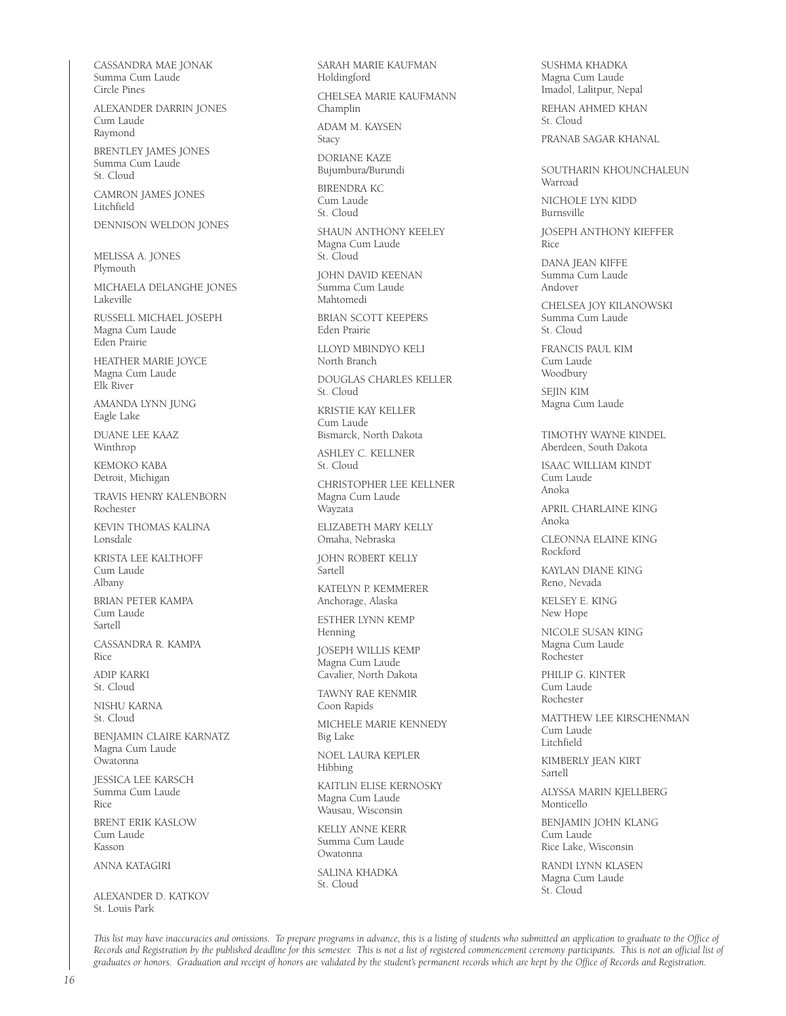CASSANDRA MAE JONAK Summa Cum Laude Circle Pines

ALEXANDER DARRIN JONES Cum Laude Raymond

BRENTLEY JAMES JONES Summa Cum Laude St. Cloud

CAMRON JAMES JONES Litchfield DENNISON WELDON JONES

MELISSA A. JONES Plymouth

MICHAELA DELANGHE JONES Lakeville

RUSSELL MICHAEL JOSEPH Magna Cum Laude Eden Prairie

HEATHER MARIE JOYCE Magna Cum Laude Elk River

AMANDA LYNN JUNG Eagle Lake

DUANE LEE KAAZ Winthrop

KEMOKO KABA Detroit, Michigan

TRAVIS HENRY KALENBORN Rochester

KEVIN THOMAS KALINA Lonsdale

KRISTA LEE KALTHOFF Cum Laude Albany

BRIAN PETER KAMPA Cum Laude Sartell

CASSANDRA R. KAMPA Rice

ADIP KARKI St. Cloud

NISHU KARNA St. Cloud

BENJAMIN CLAIRE KARNATZ Magna Cum Laude Owatonna

JESSICA LEE KARSCH Summa Cum Laude Rice

BRENT ERIK KASLOW Cum Laude Kasson

ANNA KATAGIRI

ALEXANDER D. KATKOV St. Louis Park

SARAH MARIE KAUFMAN Holdingford

CHELSEA MARIE KAUFMANN Champlin

ADAM M. KAYSEN Stacy

DORIANE KAZE Bujumbura/Burundi

BIRENDRA KC Cum Laude St. Cloud

SHAUN ANTHONY KEELEY Magna Cum Laude St. Cloud

JOHN DAVID KEENAN Summa Cum Laude Mahtomedi

BRIAN SCOTT KEEPERS Eden Prairie

LLOYD MBINDYO KELI North Branch

DOUGLAS CHARLES KELLER St. Cloud

KRISTIE KAY KELLER Cum Laude Bismarck, North Dakota

ASHLEY C. KELLNER

St. Cloud

CHRISTOPHER LEE KELLNER Magna Cum Laude Wayzata

ELIZABETH MARY KELLY Omaha, Nebraska

JOHN ROBERT KELLY Sartell

KATELYN P. KEMMERER Anchorage, Alaska

ESTHER LYNN KEMP Henning

JOSEPH WILLIS KEMP Magna Cum Laude Cavalier, North Dakota

TAWNY RAE KENMIR Coon Rapids

MICHELE MARIE KENNEDY Big Lake

NOEL LAURA KEPLER Hibbing

KAITLIN ELISE KERNOSKY Magna Cum Laude Wausau, Wisconsin

KELLY ANNE KERR Summa Cum Laude Owatonna

SAI INA KHADKA St. Cloud

SUSHMA KHADKA Magna Cum Laude Imadol, Lalitpur, Nepal REHAN AHMED KHAN St. Cloud

PRANAB SAGAR KHANAL

SOUTHARIN KHOUNCHALEUN Warroad

NICHOLE LYN KIDD Burnsville

JOSEPH ANTHONY KIEFFER Rice

DANA JEAN KIFFE Summa Cum Laude Andover

CHELSEA JOY KILANOWSKI Summa Cum Laude St. Cloud

FRANCIS PAUL KIM Cum Laude Woodbury

SEJIN KIM Magna Cum Laude

TIMOTHY WAYNE KINDEL Aberdeen, South Dakota

ISAAC WILLIAM KINDT Cum Laude Anoka

APRIL CHARLAINE KING Anoka

CLEONNA ELAINE KING Rockford

KAYLAN DIANE KING Reno, Nevada

KELSEY E. KING New Hope

NICOLE SUSAN KING Magna Cum Laude Rochester

PHILIP G. KINTER Cum Laude Rochester

MATTHEW LEE KIRSCHENMAN Cum Laude Litchfield

KIMBERLY JEAN KIRT Sartell

ALYSSA MARIN KJELLBERG Monticello

BENJAMIN JOHN KLANG Cum Laude Rice Lake, Wisconsin

RANDI LYNN KLASEN Magna Cum Laude St. Cloud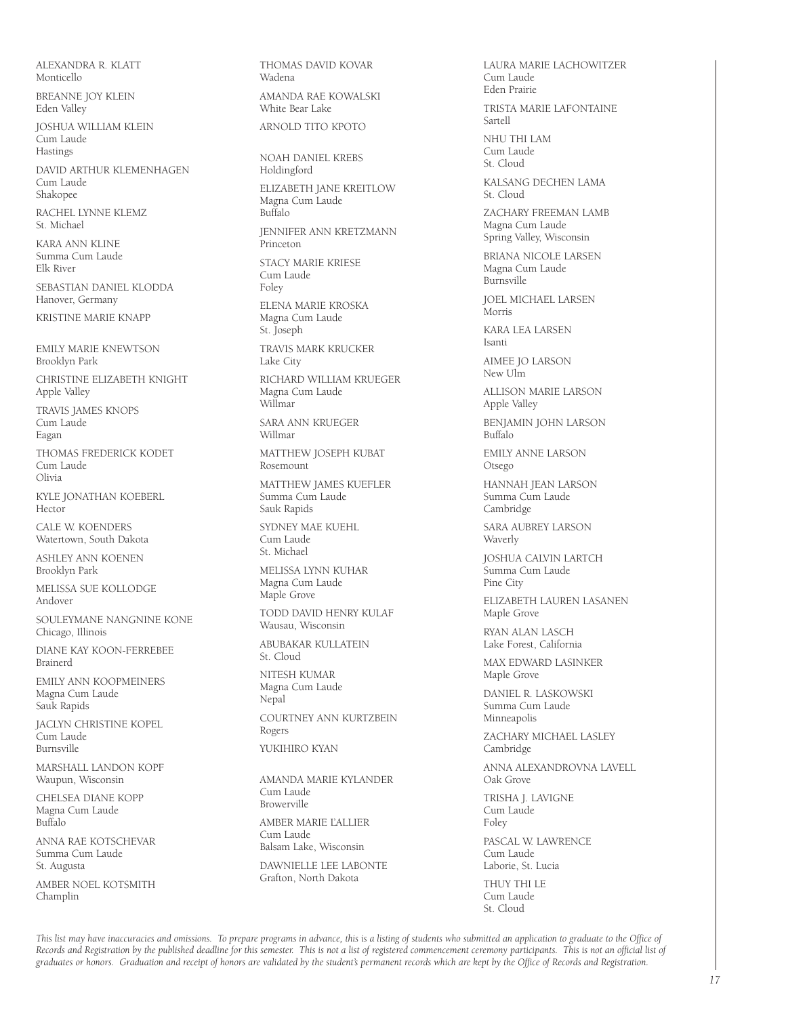ALEXANDRA R. KLATT Monticello

BREANNE JOY KLEIN Eden Valley

JOSHUA WILLIAM KLEIN Cum Laude Hastings

DAVID ARTHUR KLEMENHAGEN Cum Laude Shakopee

RACHEL LYNNE KLEMZ St. Michael

KARA ANN KLINE Summa Cum Laude Elk River

SEBASTIAN DANIEL KLODDA Hanover, Germany

KRISTINE MARIE KNAPP

EMILY MARIE KNEWTSON Brooklyn Park

CHRISTINE ELIZABETH KNIGHT Apple Valley

TRAVIS JAMES KNOPS Cum Laude Eagan

THOMAS FREDERICK KODET Cum Laude Olivia

KYLE JONATHAN KOEBERL Hector

CALE W. KOENDERS Watertown, South Dakota

ASHLEY ANN KOENEN Brooklyn Park

MELISSA SUE KOLLODGE Andover

SOULEYMANE NANGNINE KONE Chicago, Illinois

DIANE KAY KOON-FERREBEE Brainerd

EMILY ANN KOOPMEINERS Magna Cum Laude Sauk Rapids

JACLYN CHRISTINE KOPEL .<br>Cum Laude Burnsville

MARSHALL LANDON KOPF Waupun, Wisconsin

CHELSEA DIANE KOPP Magna Cum Laude Buffalo

ANNA RAE KOTSCHEVAR Summa Cum Laude St. Augusta

AMBER NOEL KOTSMITH Champlin

THOMAS DAVID KOVAR Wadena AMANDA RAE KOWALSKI White Bear Lake ARNOLD TITO KPOTO NOAH DANIEL KREBS Holdingford ELIZABETH JANE KREITLOW Magna Cum Laude Buffalo JENNIFER ANN KRETZMANN Princeton STACY MARIE KRIESE Cum Laude Foley ELENA MARIE KROSKA Magna Cum Laude St. Joseph TRAVIS MARK KRUCKER Lake City RICHARD WILLIAM KRUEGER Magna Cum Laude Willmar SARA ANN KRUEGER Willmar MATTHEW JOSEPH KUBAT Rosemount MATTHEW JAMES KUEFLER Summa Cum Laude Sauk Rapids SYDNEY MAE KUEHL Cum Laude St. Michael MELISSA LYNN KUHAR Magna Cum Laude Maple Grove TODD DAVID HENRY KULAF Wausau, Wisconsin ABUBAKAR KULLATEIN St. Cloud NITESH KUMAR Magna Cum Laude Nepal COURTNEY ANN KURTZBEIN Rogers YUKIHIRO KYAN AMANDA MARIE KYLANDER Cum Laude Browerville

AMBER MARIE L'ALLIER Cum Laude Balsam Lake, Wisconsin DAWNIELLE LEE LABONTE

Grafton, North Dakota

LAURA MARIE LACHOWITZER Cum Laude Eden Prairie TRISTA MARIE LAFONTAINE Sartell NHU THI LAM Cum Laude St. Cloud KALSANG DECHEN LAMA St. Cloud ZACHARY FREEMAN LAMB Magna Cum Laude Spring Valley, Wisconsin BRIANA NICOLE LARSEN Magna Cum Laude Burnsville JOEL MICHAEL LARSEN Morris KARA LEA LARSEN Isanti AIMEE JO LARSON New Ulm ALLISON MARIE LARSON Apple Valley BENJAMIN JOHN LARSON Buffalo EMILY ANNE LARSON Otsego HANNAH JEAN LARSON Summa Cum Laude Cambridge SARA AUBREY LARSON Waverly JOSHUA CALVIN LARTCH .<br>Summa Cum Laude. Pine City ELIZABETH LAUREN LASANEN Maple Grove RYAN ALAN LASCH Lake Forest, California MAX EDWARD LASINKER Maple Grove DANIEL R. LASKOWSKI Summa Cum Laude Minneapolis ZACHARY MICHAEL LASLEY Cambridge ANNA ALEXANDROVNA LAVELL Oak Grove TRISHA J. LAVIGNE Cum Laude Foley PASCAL W. LAWRENCE Cum Laude Laborie, St. Lucia THUY THI LE Cum Laude

St. Cloud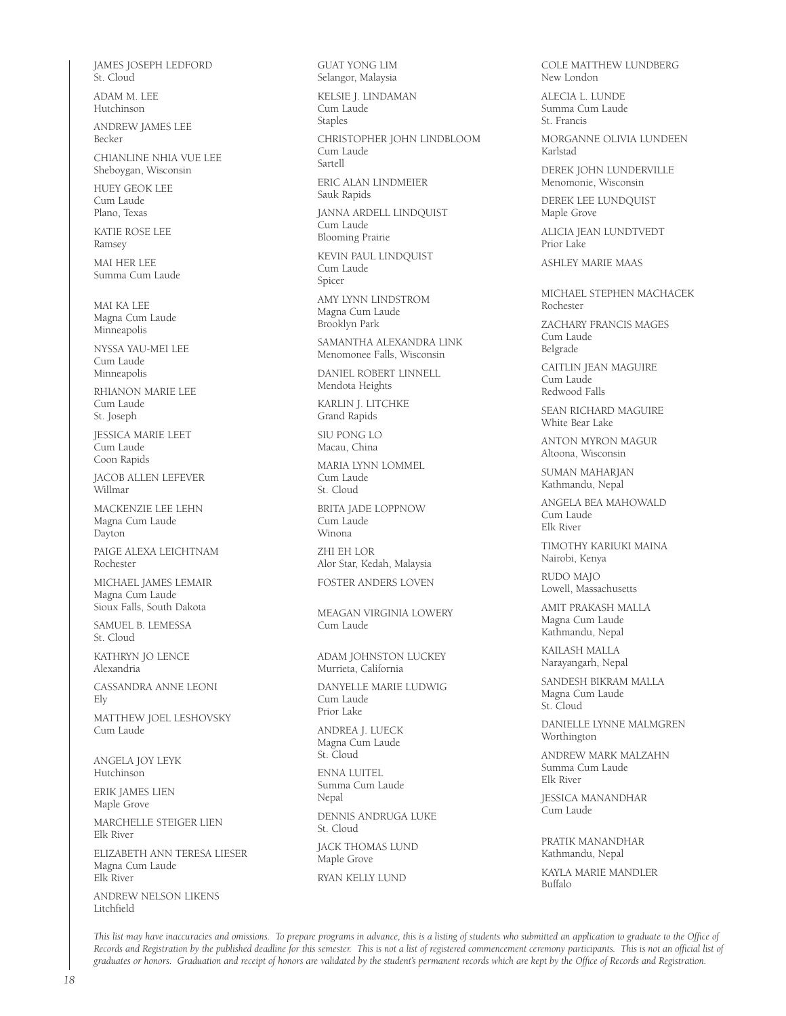JAMES JOSEPH LEDFORD St. Cloud

ADAM M. LEE Hutchinson

ANDREW JAMES LEE Becker

CHIANLINE NHIA VUE LEE Sheboygan, Wisconsin

HUEY GEOK LEE Cum Laude Plano, Texas

KATIE ROSE LEE Ramsey

MAI HER LEE Summa Cum Laude

MAI KA LEE Magna Cum Laude Minneapolis

NYSSA YAU-MEI LEE Cum Laude Minneapolis

RHIANON MARIE LEE Cum Laude St. Joseph

JESSICA MARIE LEET Cum Laude Coon Rapids

JACOB ALLEN LEFEVER Willmar

MACKENZIE LEE LEHN Magna Cum Laude Dayton

PAIGE ALEXA LEICHTNAM Rochester

MICHAEL JAMES LEMAIR Magna Cum Laude Sioux Falls, South Dakota

SAMUEL B. LEMESSA St. Cloud

KATHRYN JO LENCE Alexandria

CASSANDRA ANNE LEONI Ely

MATTHEW JOEL LESHOVSKY Cum Laude

ANGELA JOY LEYK Hutchinson

ERIK JAMES LIEN Maple Grove

MARCHELLE STEIGER LIEN Elk River

ELIZABETH ANN TERESA LIESER Magna Cum Laude Elk River

ANDREW NELSON LIKENS Litchfield

GUAT YONG LIM Selangor, Malaysia

KELSIE J. LINDAMAN Cum Laude Staples

CHRISTOPHER JOHN LINDBLOOM Cum Laude Sartell ERIC ALAN LINDMEIER Sauk Rapids

JANNA ARDELL LINDQUIST

Cum Laude Blooming Prairie

KEVIN PAUL LINDQUIST Cum Laude Spicer

AMY LYNN LINDSTROM Magna Cum Laude Brooklyn Park

SAMANTHA ALEXANDRA LINK Menomonee Falls, Wisconsin

DANIEL ROBERT LINNELL Mendota Heights

KARLIN J. LITCHKE Grand Rapids

SIU PONG LO Macau, China

MARIA LYNN LOMMEL Cum Laude St. Cloud

BRITA JADE LOPPNOW Cum Laude Winona

ZHI EH LOR Alor Star, Kedah, Malaysia FOSTER ANDERS LOVEN

MEAGAN VIRGINIA LOWERY Cum Laude

ADAM JOHNSTON LUCKEY Murrieta, California

DANYELLE MARIE LUDWIG Cum Laude Prior Lake

ANDREA J. LUECK Magna Cum Laude St. Cloud

ENNA LUITEL Summa Cum Laude Nepal DENNIS ANDRUGA LUKE St. Cloud JACK THOMAS LUND

Maple Grove RYAN KELLY LUND

COLE MATTHEW LUNDBERG New London

ALECIA L. LUNDE Summa Cum Laude St. Francis

MORGANNE OLIVIA LUNDEEN Karlstad

DEREK JOHN LUNDERVILLE Menomonie, Wisconsin

DEREK LEE LUNDQUIST Maple Grove

ALICIA JEAN LUNDTVEDT Prior Lake

ASHLEY MARIE MAAS

MICHAEL STEPHEN MACHACEK Rochester

ZACHARY FRANCIS MAGES Cum Laude Belgrade

CAITLIN JEAN MAGUIRE Cum Laude Redwood Falls

SEAN RICHARD MAGUIRE White Bear Lake

ANTON MYRON MAGUR Altoona, Wisconsin

SUMAN MAHARJAN Kathmandu, Nepal

ANGELA BEA MAHOWALD Cum Laude Elk River

TIMOTHY KARIUKI MAINA Nairobi, Kenya

RUDO MAJO Lowell, Massachusetts

AMIT PRAKASH MALLA Magna Cum Laude Kathmandu, Nepal

KAILASH MALLA Narayangarh, Nepal

SANDESH BIKRAM MALLA Magna Cum Laude St. Cloud

DANIELLE LYNNE MALMGREN Worthington

ANDREW MARK MALZAHN Summa Cum Laude Elk River

JESSICA MANANDHAR **Cum Laude** 

PRATIK MANANDHAR Kathmandu, Nepal

KAYLA MARIE MANDLER Buffalo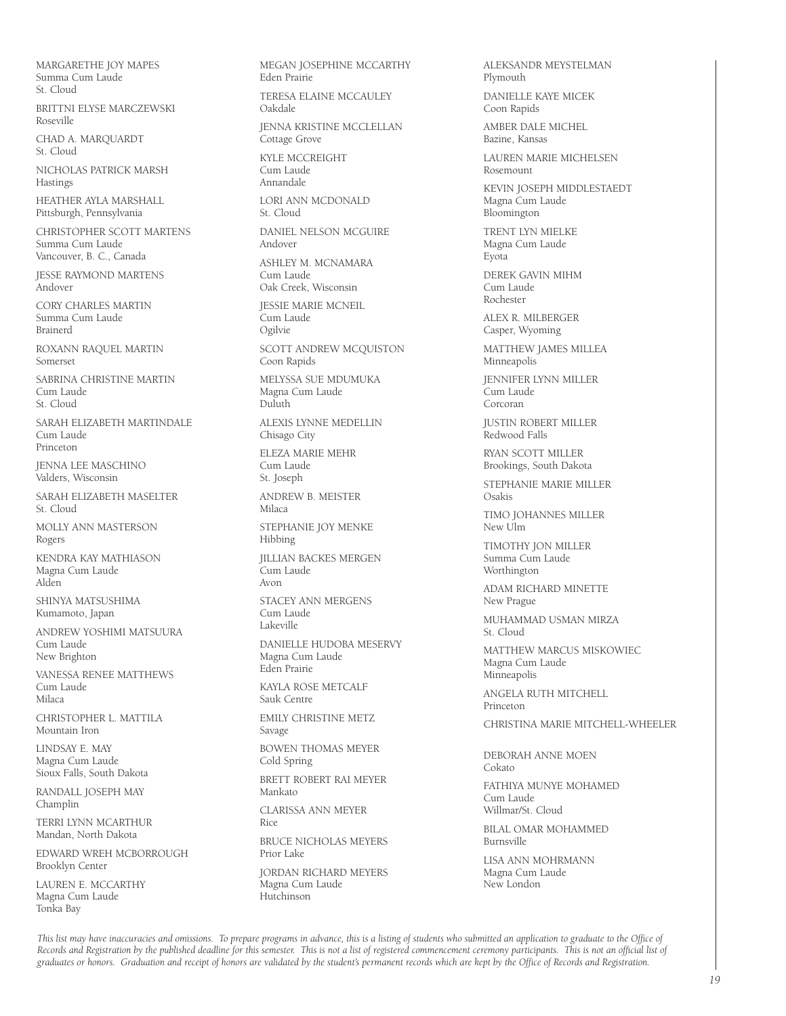MARGARETHE JOY MAPES Summa Cum Laude St. Cloud

BRITTNI ELYSE MARCZEWSKI Roseville

CHAD A. MARQUARDT St. Cloud

NICHOLAS PATRICK MARSH **Hastings** 

HEATHER AYLA MARSHALL Pittsburgh, Pennsylvania

CHRISTOPHER SCOTT MARTENS Summa Cum Laude Vancouver, B. C., Canada

JESSE RAYMOND MARTENS Andover

CORY CHARLES MARTIN Summa Cum Laude Brainerd

ROXANN RAQUEL MARTIN Somerset

SABRINA CHRISTINE MARTIN Cum Laude St. Cloud

SARAH ELIZABETH MARTINDALE Cum Laude Princeton

JENNA LEE MASCHINO Valders, Wisconsin

SARAH ELIZABETH MASELTER St. Cloud

MOLLY ANN MASTERSON Rogers

KENDRA KAY MATHIASON Magna Cum Laude Alden

SHINYA MATSUSHIMA Kumamoto, Japan

ANDREW YOSHIMI MATSUURA Cum Laude New Brighton

VANESSA RENEE MATTHEWS Cum Laude Milaca

CHRISTOPHER L. MATTILA Mountain Iron

LINDSAY E. MAY Magna Cum Laude Sioux Falls, South Dakota

RANDALL JOSEPH MAY Champlin

TERRI LYNN MCARTHUR Mandan, North Dakota

EDWARD WREH MCBORROUGH Brooklyn Center

LAUREN E. MCCARTHY Magna Cum Laude Tonka Bay

MEGAN JOSEPHINE MCCARTHY Eden Prairie

TERESA ELAINE MCCAULEY Oakdale

JENNA KRISTINE MCCLELLAN Cottage Grove

KYLE MCCREIGHT Cum Laude Annandale

LORI ANN MCDONALD St. Cloud

DANIEL NELSON MCGUIRE Andover

ASHLEY M. MCNAMARA Cum Laude

Oak Creek, Wisconsin JESSIE MARIE MCNEIL

Cum Laude Ogilvie SCOTT ANDREW MCQUISTON Coon Rapids

MELYSSA SUE MDUMUKA Magna Cum Laude Duluth

ALEXIS LYNNE MEDELLIN Chisago City

ELEZA MARIE MEHR Cum Laude St. Joseph

ANDREW B. MEISTER Milaca

STEPHANIE JOY MENKE Hibbing

JILLIAN BACKES MERGEN Cum Laude Avon

STACEY ANN MERGENS Cum Laude Lakeville

DANIELLE HUDOBA MESERVY Magna Cum Laude

Eden Prairie KAYLA ROSE METCALF

Sauk Centre

EMILY CHRISTINE METZ Savage

BOWEN THOMAS MEYER Cold Spring

BRETT ROBERT RAI MEYER Mankato

CLARISSA ANN MEYER

Rice BRUCE NICHOLAS MEYERS

Prior Lake JORDAN RICHARD MEYERS Magna Cum Laude

Hutchinson

ALEKSANDR MEYSTELMAN Plymouth

DANIELLE KAYE MICEK Coon Rapids

AMBER DALE MICHEL Bazine, Kansas

LAUREN MARIE MICHELSEN Rosemount

KEVIN JOSEPH MIDDLESTAEDT Magna Cum Laude Bloomington

TRENT LYN MIELKE Magna Cum Laude Eyota

DEREK GAVIN MIHM Cum Laude Rochester

ALEX R. MILBERGER Casper, Wyoming

MATTHEW JAMES MILLEA Minneapolis

JENNIFER LYNN MILLER .<br>Cum Laude Corcoran

JUSTIN ROBERT MILLER Redwood Falls

RYAN SCOTT MILLER Brookings, South Dakota

STEPHANIE MARIE MILLER Osakis

TIMO JOHANNES MILLER New Ulm

TIMOTHY JON MILLER Summa Cum Laude Worthington

ADAM RICHARD MINETTE New Prague

MUHAMMAD USMAN MIRZA St. Cloud

MATTHEW MARCUS MISKOWIEC Magna Cum Laude Minneapolis

ANGELA RUTH MITCHELL Princeton

CHRISTINA MARIE MITCHELL-WHEELER

DEBORAH ANNE MOEN Cokato

FATHIYA MUNYE MOHAMED Cum Laude Willmar/St. Cloud

BILAL OMAR MOHAMMED Burnsville

LISA ANN MOHRMANN Magna Cum Laude New London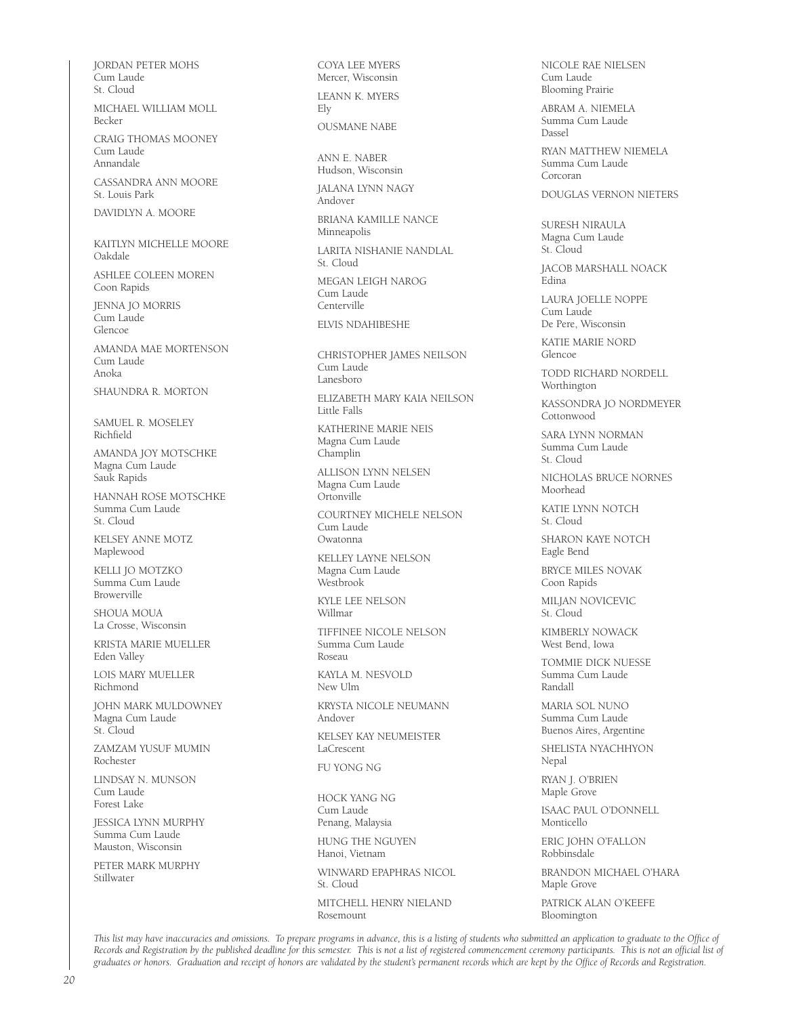JORDAN PETER MOHS Cum Laude St. Cloud MICHAEL WILLIAM MOLL Becker CRAIG THOMAS MOONEY Cum Laude Annandale CASSANDRA ANN MOORE St. Louis Park DAVIDLYN A. MOORE KAITLYN MICHELLE MOORE Oakdale ASHLEE COLEEN MOREN Coon Rapids JENNA JO MORRIS Cum Laude Glencoe AMANDA MAE MORTENSON Cum Laude Anoka SHAUNDRA R. MORTON SAMUEL R. MOSELEY Richfield AMANDA JOY MOTSCHKE Magna Cum Laude Sauk Rapids HANNAH ROSE MOTSCHKE Summa Cum Laude St. Cloud KELSEY ANNE MOTZ Maplewood KELLI JO MOTZKO Summa Cum Laude Browerville SHOUA MOUA La Crosse, Wisconsin KRISTA MARIE MUELLER Eden Valley LOIS MARY MUELLER Richmond JOHN MARK MULDOWNEY Magna Cum Laude St. Cloud ZAMZAM YUSUF MUMIN Rochester LINDSAY N. MUNSON Cum Laude Forest Lake JESSICA LYNN MURPHY Summa Cum Laude Mauston, Wisconsin PETER MARK MURPHY Stillwater

COYA LEE MYERS Mercer, Wisconsin LEANN K. MYERS Ely OUSMANE NABE ANN E. NABER Hudson, Wisconsin JALANA LYNN NAGY Andover BRIANA KAMILLE NANCE Minneapolis LARITA NISHANIE NANDLAL St. Cloud MEGAN LEIGH NAROG Cum Laude Centerville ELVIS NDAHIBESHE CHRISTOPHER JAMES NEILSON Cum Laude Lanesboro ELIZABETH MARY KAIA NEILSON Little Falls KATHERINE MARIE NEIS Magna Cum Laude Champlin ALLISON LYNN NELSEN Magna Cum Laude Ortonville COURTNEY MICHELE NELSON Cum Laude Owatonna KELLEY LAYNE NELSON Magna Cum Laude Westbrook KYLE LEE NELSON Willmar TIFFINEE NICOLE NELSON Summa Cum Laude Roseau KAYLA M. NESVOLD New Ulm KRYSTA NICOLE NEUMANN Andover KELSEY KAY NEUMEISTER LaCrescent FU YONG NG HOCK YANG NG Cum Laude Penang, Malaysia HUNG THE NGUYEN Hanoi, Vietnam WINWARD EPAPHRAS NICOL St. Cloud MITCHELL HENRY NIELAND Rosemount

NICOLE RAE NIELSEN Cum Laude Blooming Prairie

ABRAM A. NIEMELA Summa Cum Laude Dassel

RYAN MATTHEW NIEMELA Summa Cum Laude Corcoran

DOUGLAS VERNON NIETERS

SURESH NIRAULA Magna Cum Laude St. Cloud

JACOB MARSHALL NOACK Edina

LAURA JOELLE NOPPE Cum Laude De Pere, Wisconsin

KATIE MARIE NORD Glencoe

TODD RICHARD NORDELL Worthington

KASSONDRA JO NORDMEYER Cottonwood

SARA LYNN NORMAN Summa Cum Laude St. Cloud

NICHOLAS BRUCE NORNES Moorhead

KATIE LYNN NOTCH St. Cloud

SHARON KAYE NOTCH Eagle Bend

BRYCE MILES NOVAK Coon Rapids

MILJAN NOVICEVIC St. Cloud

KIMBERLY NOWACK West Bend, Iowa

TOMMIE DICK NUESSE Summa Cum Laude Randall

MARIA SOL NUNO Summa Cum Laude Buenos Aires, Argentine

SHELISTA NYACHHYON Nepal

RYAN J. O'BRIEN Maple Grove

ISAAC PAUL O'DONNELL Monticello

ERIC JOHN O'FALLON Robbinsdale

BRANDON MICHAEL O'HARA Maple Grove

PATRICK ALAN O'KEEFE Bloomington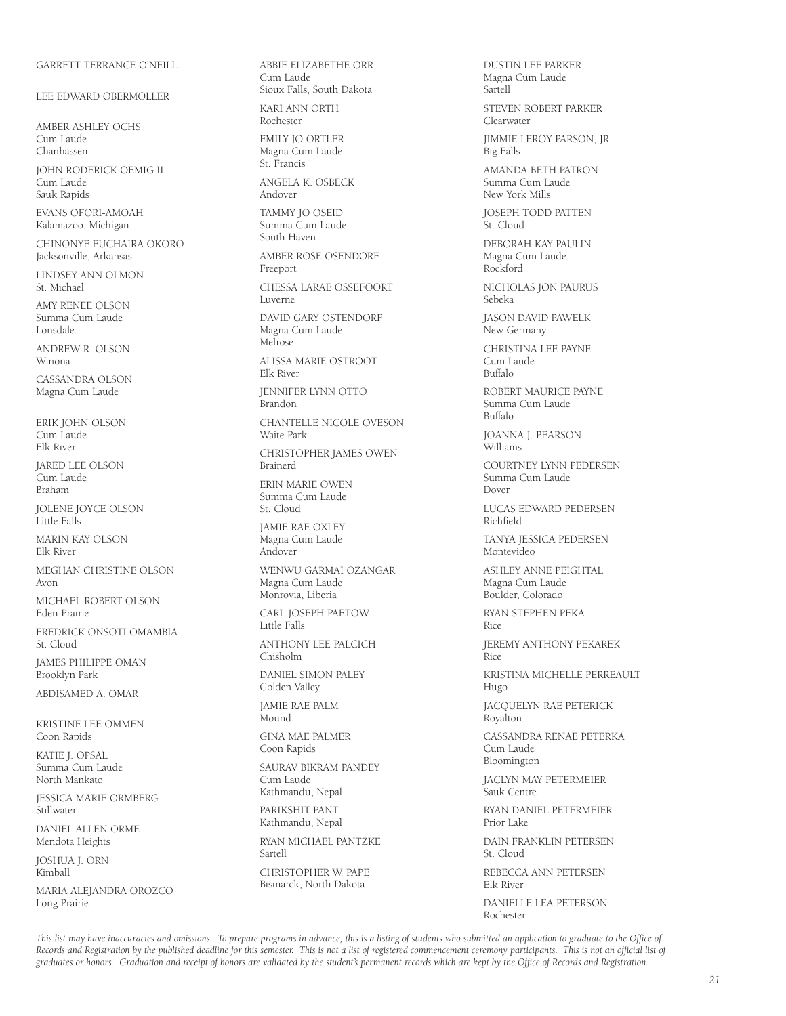#### GARRETT TERRANCE O'NEILL

LEE EDWARD OBERMOLLER

AMBER ASHI EY OCHS Cum Laude Chanhassen

JOHN RODERICK OEMIG II Cum Laude Sauk Rapids

EVANS OFORI-AMOAH Kalamazoo, Michigan

CHINONYE EUCHAIRA OKORO Jacksonville, Arkansas

LINDSEY ANN OLMON St. Michael

AMY RENEE OLSON Summa Cum Laude Lonsdale

ANDREW R. OLSON Winona

CASSANDRA OLSON Magna Cum Laude

ERIK JOHN OLSON Cum Laude Elk River

JARED LEE OLSON Cum Laude Braham

JOLENE JOYCE OLSON Little Falls

MARIN KAY OLSON Elk River

MEGHAN CHRISTINE OLSON Avon

MICHAEL ROBERT OLSON Eden Prairie

FREDRICK ONSOTI OMAMBIA St. Cloud

JAMES PHILIPPE OMAN Brooklyn Park

ABDISAMED A. OMAR

KRISTINE LEE OMMEN Coon Rapids

KATIE J. OPSAL Summa Cum Laude North Mankato

JESSICA MARIE ORMBERG **Stillwater** 

DANIEL ALLEN ORME Mendota Heights

JOSHUA J. ORN .<br>Kimball

MARIA ALEJANDRA OROZCO Long Prairie

ABBIE ELIZABETHE ORR Cum Laude Sioux Falls, South Dakota KARI ANN ORTH Rochester EMILY JO ORTLER Magna Cum Laude St. Francis ANGELA K. OSBECK Andover TAMMY JO OSEID Summa Cum Laude South Haven AMBER ROSE OSENDORF Freeport CHESSA LARAE OSSEFOORT Luverne DAVID GARY OSTENDORF Magna Cum Laude Melrose ALISSA MARIE OSTROOT Elk River JENNIFER LYNN OTTO Brandon CHANTELLE NICOLE OVESON Waite Park CHRISTOPHER JAMES OWEN Brainerd ERIN MARIE OWEN Summa Cum Laude St. Cloud JAMIE RAE OXLEY .<br>Magna Cum Laude Andover WENWU GARMAI OZANGAR Magna Cum Laude Monrovia, Liberia CARL JOSEPH PAETOW Little Falls ANTHONY LEE PALCICH Chisholm DANIEL SIMON PALEY Golden Valley JAMIE RAE PALM Mound GINA MAE PALMER Coon Rapids SAURAV BIKRAM PANDEY Cum Laude Kathmandu, Nepal PARIKSHIT PANT Kathmandu, Nepal RYAN MICHAEL PANTZKE Sartell CHRISTOPHER W. PAPE Bismarck, North Dakota

DUSTIN LEE PARKER Magna Cum Laude Sartell STEVEN ROBERT PARKER Clearwater JIMMIE LEROY PARSON, JR. Big Falls AMANDA BETH PATRON Summa Cum Laude New York Mills JOSEPH TODD PATTEN St. Cloud DEBORAH KAY PAULIN Magna Cum Laude Rockford NICHOLAS JON PAURUS Sebeka JASON DAVID PAWELK New Germany CHRISTINA LEE PAYNE Cum Laude Buffalo ROBERT MAURICE PAYNE Summa Cum Laude Buffalo JOANNA J. PEARSON Williams COURTNEY LYNN PEDERSEN Summa Cum Laude Dover LUCAS EDWARD PEDERSEN Richfield TANYA JESSICA PEDERSEN Montevideo ASHLEY ANNE PEIGHTAL Magna Cum Laude Boulder, Colorado RYAN STEPHEN PEKA Rice JEREMY ANTHONY PEKAREK Rice KRISTINA MICHELLE PERREAULT Hugo JACQUELYN RAE PETERICK Royalton CASSANDRA RENAE PETERKA Cum Laude Bloomington JACLYN MAY PETERMEIER Sauk Centre RYAN DANIEL PETERMEIER Prior Lake DAIN FRANKLIN PETERSEN St. Cloud REBECCA ANN PETERSEN Elk River DANIELLE LEA PETERSON Rochester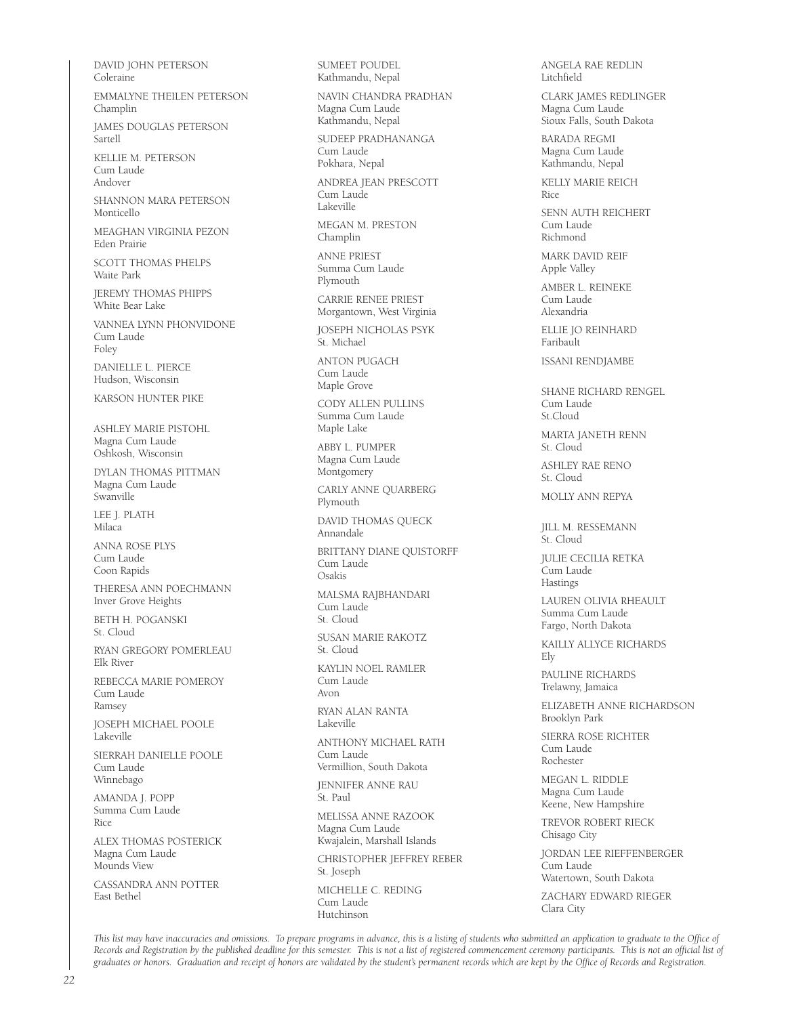DAVID JOHN PETERSON Coleraine

EMMALYNE THEILEN PETERSON Champlin

JAMES DOUGLAS PETERSON Sartell

KELLIE M. PETERSON Cum Laude Andover

SHANNON MARA PETERSON Monticello

MEAGHAN VIRGINIA PEZON Eden Prairie

SCOTT THOMAS PHELPS Waite Park

JEREMY THOMAS PHIPPS White Bear Lake

VANNEA LYNN PHONVIDONE Cum Laude Foley

DANIELLE L. PIERCE Hudson, Wisconsin

KARSON HUNTER PIKE

ASHLEY MARIE PISTOHL Magna Cum Laude Oshkosh, Wisconsin

DYLAN THOMAS PITTMAN Magna Cum Laude Swanville

LEE J. PLATH Milaca

ANNA ROSE PLYS Cum Laude Coon Rapids

THERESA ANN POECHMANN Inver Grove Heights

BETH H. POGANSKI St. Cloud

RYAN GREGORY POMERLEAU Elk River

REBECCA MARIE POMEROY Cum Laude Ramsey

JOSEPH MICHAEL POOLE Lakeville

SIERRAH DANIELLE POOLE Cum Laude Winnebago

AMANDA J. POPP Summa Cum Laude Rice

ALEX THOMAS POSTERICK Magna Cum Laude Mounds View

CASSANDRA ANN POTTER East Bethel

SUMEET POUDEL Kathmandu, Nepal

NAVIN CHANDRA PRADHAN Magna Cum Laude Kathmandu, Nepal

SUDEEP PRADHANANGA Cum Laude Pokhara, Nepal

ANDREA JEAN PRESCOTT Cum Laude Lakeville

MEGAN M. PRESTON Champlin

ANNE PRIEST Summa Cum Laude Plymouth

CARRIE RENEE PRIEST Morgantown, West Virginia

JOSEPH NICHOLAS PSYK St. Michael

ANTON PUGACH Cum Laude Maple Grove

CODY ALLEN PULLINS Summa Cum Laude Maple Lake

ABBY L. PUMPER Magna Cum Laude Montgomery

CARLY ANNE QUARBERG Plymouth

DAVID THOMAS QUECK Annandale

BRITTANY DIANE QUISTORFF Cum Laude Osakis

MALSMA RAJBHANDARI Cum Laude St. Cloud

SUSAN MARIE RAKOTZ St. Cloud

KAYLIN NOEL RAMLER Cum Laude Avon

RYAN ALAN RANTA Lakeville

ANTHONY MICHAEL RATH Cum Laude Vermillion, South Dakota

JENNIFER ANNE RAU St. Paul

MELISSA ANNE RAZOOK Magna Cum Laude Kwajalein, Marshall Islands

CHRISTOPHER JEFFREY REBER St. Joseph

MICHELLE C. REDING Cum Laude Hutchinson

ANGELA RAE REDLIN Litchfield

CLARK JAMES REDLINGER Magna Cum Laude Sioux Falls, South Dakota

BARADA REGMI Magna Cum Laude Kathmandu, Nepal

KELLY MARIE REICH Rice

SENN AUTH REICHERT Cum Laude Richmond

MARK DAVID REIF Apple Valley

AMBER L. REINEKE Cum Laude Alexandria

ELLIE JO REINHARD Faribault

ISSANI RENDJAMBE

SHANE RICHARD RENGEL Cum Laude St.Cloud

MARTA JANETH RENN St. Cloud

ASHLEY RAE RENO St. Cloud

MOLLY ANN REPYA

JILL M. RESSEMANN St. Cloud

JULIE CECILIA RETKA .<br>Cum Laude Hastings

LAUREN OLIVIA RHEAULT Summa Cum Laude Fargo, North Dakota

KAILLY ALLYCE RICHARDS Ely

PAULINE RICHARDS Trelawny, Jamaica

ELIZABETH ANNE RICHARDSON Brooklyn Park

SIERRA ROSE RICHTER Cum Laude Rochester

MEGAN L. RIDDLE Magna Cum Laude Keene, New Hampshire

TREVOR ROBERT RIECK Chisago City

JORDAN LEE RIEFFENBERGER Cum Laude Watertown, South Dakota

ZACHARY EDWARD RIEGER Clara City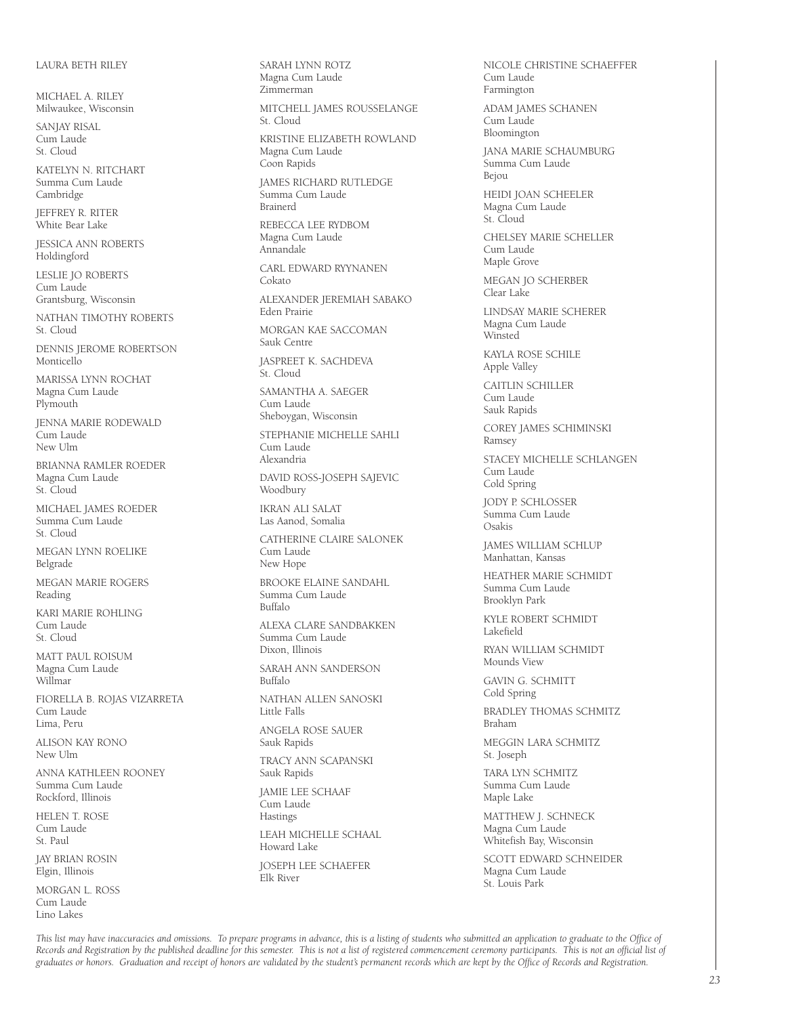#### LAURA BETH RILEY

MICHAEL A. RILEY Milwaukee, Wisconsin

SANJAY RISAL Cum Laude St. Cloud

KATELYN N. RITCHART Summa Cum Laude Cambridge

JEFFREY R. RITER White Bear Lake

JESSICA ANN ROBERTS Holdingford

LESLIE JO ROBERTS Cum Laude Grantsburg, Wisconsin

NATHAN TIMOTHY ROBERTS St. Cloud

DENNIS JEROME ROBERTSON Monticello

MARISSA LYNN ROCHAT Magna Cum Laude Plymouth

JENNA MARIE RODEWALD Cum Laude New Ulm

BRIANNA RAMLER ROEDER Magna Cum Laude St. Cloud

MICHAEL JAMES ROEDER Summa Cum Laude St. Cloud

MEGAN LYNN ROELIKE Belgrade

MEGAN MARIE ROGERS Reading

KARI MARIE ROHLING Cum Laude St. Cloud

MATT PAUL ROISUM Magna Cum Laude Willmar

FIORELLA B. ROJAS VIZARRETA Cum Laude Lima, Peru

ALISON KAY RONO New Ulm

ANNA KATHLEEN ROONEY Summa Cum Laude Rockford, Illinois

HELEN T. ROSE Cum Laude St. Paul

JAY BRIAN ROSIN Elgin, Illinois

MORGAN L. ROSS Cum Laude Lino Lakes

SARAH LYNN ROTZ Magna Cum Laude Zimmerman MITCHELL JAMES ROUSSELANGE St. Cloud KRISTINE ELIZABETH ROWLAND Magna Cum Laude Coon Rapids JAMES RICHARD RUTLEDGE Summa Cum Laude Brainerd REBECCA LEE RYDBOM Magna Cum Laude Annandale CARL EDWARD RYYNANEN Cokato ALEXANDER JEREMIAH SABAKO Eden Prairie MORGAN KAE SACCOMAN Sauk Centre JASPREET K. SACHDEVA St. Cloud SAMANTHA A. SAEGER Cum Laude Sheboygan, Wisconsin STEPHANIE MICHELLE SAHLI Cum Laude Alexandria DAVID ROSS-JOSEPH SAJEVIC Woodbury IKRAN ALI SALAT Las Aanod, Somalia CATHERINE CLAIRE SALONEK Cum Laude New Hope BROOKE ELAINE SANDAHL Summa Cum Laude Buffalo ALEXA CLARE SANDBAKKEN Summa Cum Laude Dixon, Illinois SARAH ANN SANDERSON Buffalo NATHAN ALLEN SANOSKI Little Falls ANGELA ROSE SAUER Sauk Rapids TRACY ANN SCAPANSKI Sauk Rapids JAMIE LEE SCHAAF Cum Laude Hastings LEAH MICHELLE SCHAAL Howard Lake JOSEPH LEE SCHAEFER Elk River

NICOLE CHRISTINE SCHAEFFER Cum Laude Farmington ADAM JAMES SCHANEN Cum Laude Bloomington JANA MARIE SCHAUMBURG Summa Cum Laude Bejou HEIDI JOAN SCHEELER Magna Cum Laude St. Cloud CHELSEY MARIE SCHELLER Cum Laude Maple Grove MEGAN JO SCHERBER Clear Lake LINDSAY MARIE SCHERER Magna Cum Laude Winsted KAYLA ROSE SCHILE Apple Valley CAITLIN SCHILLER Cum Laude Sauk Rapids COREY JAMES SCHIMINSKI Ramsey STACEY MICHELLE SCHLANGEN Cum Laude Cold Spring JODY P. SCHLOSSER Summa Cum Laude Osakis JAMES WILLIAM SCHLUP Manhattan, Kansas HEATHER MARIE SCHMIDT Summa Cum Laude Brooklyn Park KYLE ROBERT SCHMIDT Lakefield RYAN WILLIAM SCHMIDT Mounds View GAVIN G. SCHMITT Cold Spring BRADLEY THOMAS SCHMITZ Braham MEGGIN LARA SCHMITZ St. Joseph TARA LYN SCHMITZ Summa Cum Laude Maple Lake MATTHEW J. SCHNECK Magna Cum Laude Whitefish Bay, Wisconsin SCOTT EDWARD SCHNEIDER Magna Cum Laude St. Louis Park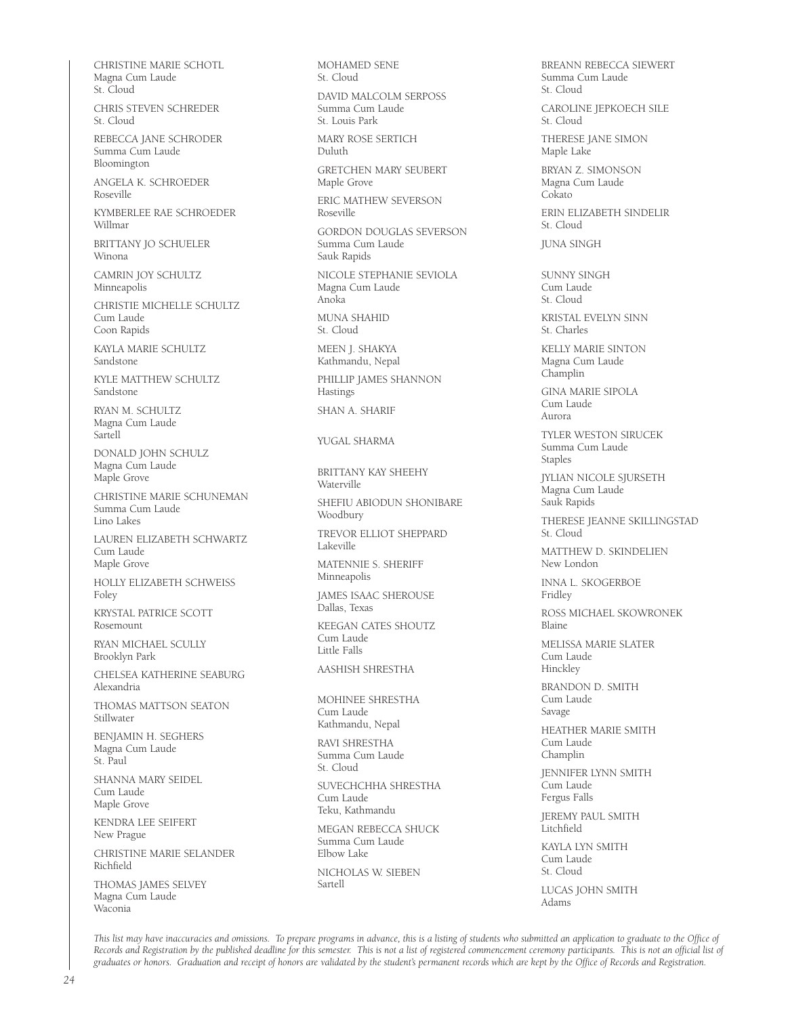CHRISTINE MARIE SCHOTL Magna Cum Laude St. Cloud

CHRIS STEVEN SCHREDER St. Cloud

REBECCA JANE SCHRODER Summa Cum Laude Bloomington

ANGELA K. SCHROEDER Roseville

KYMBERLEE RAE SCHROEDER Willmar

BRITTANY JO SCHUELER Winona

CAMRIN JOY SCHULTZ Minneapolis

CHRISTIE MICHELLE SCHULTZ Cum Laude Coon Rapids

KAYLA MARIE SCHULTZ Sandstone

KYLE MATTHEW SCHULTZ Sandstone

RYAN M. SCHULTZ Magna Cum Laude Sartell

DONALD JOHN SCHULZ Magna Cum Laude Maple Grove

CHRISTINE MARIE SCHUNEMAN Summa Cum Laude Lino Lakes

LAUREN ELIZABETH SCHWARTZ Cum Laude Maple Grove

HOLLY ELIZABETH SCHWEISS Foley

KRYSTAL PATRICE SCOTT Rosemount

RYAN MICHAEL SCULLY Brooklyn Park

CHELSEA KATHERINE SEABURG Alexandria

THOMAS MATTSON SEATON Stillwater

BENJAMIN H. SEGHERS Magna Cum Laude St. Paul

SHANNA MARY SEIDEL Cum Laude Maple Grove

KENDRA LEE SEIFERT New Prague

CHRISTINE MARIE SELANDER Richfield

THOMAS JAMES SELVEY Magna Cum Laude Waconia

MOHAMED SENE St. Cloud

DAVID MALCOLM SERPOSS Summa Cum Laude St. Louis Park

MARY ROSE SERTICH Duluth

GRETCHEN MARY SEUBERT Maple Grove

ERIC MATHEW SEVERSON Roseville

GORDON DOUGLAS SEVERSON Summa Cum Laude Sauk Rapids

NICOLE STEPHANIE SEVIOLA Magna Cum Laude Anoka

MUNA SHAHID St. Cloud

MEEN J. SHAKYA Kathmandu, Nepal

PHILLIP JAMES SHANNON Hastings

SHAN A. SHARIF

YUGAL SHARMA

BRITTANY KAY SHEEHY Waterville

SHEFIU ABIODUN SHONIBARE Woodbury

TREVOR ELLIOT SHEPPARD Lakeville

MATENNIE S. SHERIFF Minneapolis

JAMES ISAAC SHEROUSE Dallas, Texas

KEEGAN CATES SHOUTZ Cum Laude Little Falls

AASHISH SHRESTHA

MOHINEE SHRESTHA Cum Laude Kathmandu, Nepal

RAVI SHRESTHA Summa Cum Laude St. Cloud

SUVECHCHHA SHRESTHA Cum Laude Teku, Kathmandu

MEGAN REBECCA SHUCK Summa Cum Laude Elbow Lake

NICHOLAS W. SIEBEN Sartell

BREANN REBECCA SIEWERT Summa Cum Laude St. Cloud

CAROLINE JEPKOECH SILE St. Cloud

THERESE JANE SIMON Maple Lake

BRYAN Z. SIMONSON Magna Cum Laude Cokato

ERIN ELIZABETH SINDELIR St. Cloud

JUNA SINGH

SUNNY SINGH Cum Laude St. Cloud

KRISTAL EVELYN SINN St. Charles

KELLY MARIE SINTON Magna Cum Laude Champlin

GINA MARIE SIPOLA Cum Laude Aurora

TYLER WESTON SIRUCEK Summa Cum Laude Staples

JYLIAN NICOLE SJURSETH Magna Cum Laude Sauk Rapids

THERESE JEANNE SKILLINGSTAD St. Cloud

MATTHEW D. SKINDELIEN New London

INNA L. SKOGERBOE Fridley

ROSS MICHAEL SKOWRONEK Blaine

MELISSA MARIE SLATER Cum Laude Hinckley

BRANDON D. SMITH Cum Laude Savage

HEATHER MARIE SMITH Cum Laude Champlin

JENNIFER LYNN SMITH Cum Laude Fergus Falls

JEREMY PAUL SMITH Litchfield

KAYLA LYN SMITH Cum Laude St. Cloud

LUCAS JOHN SMITH Adams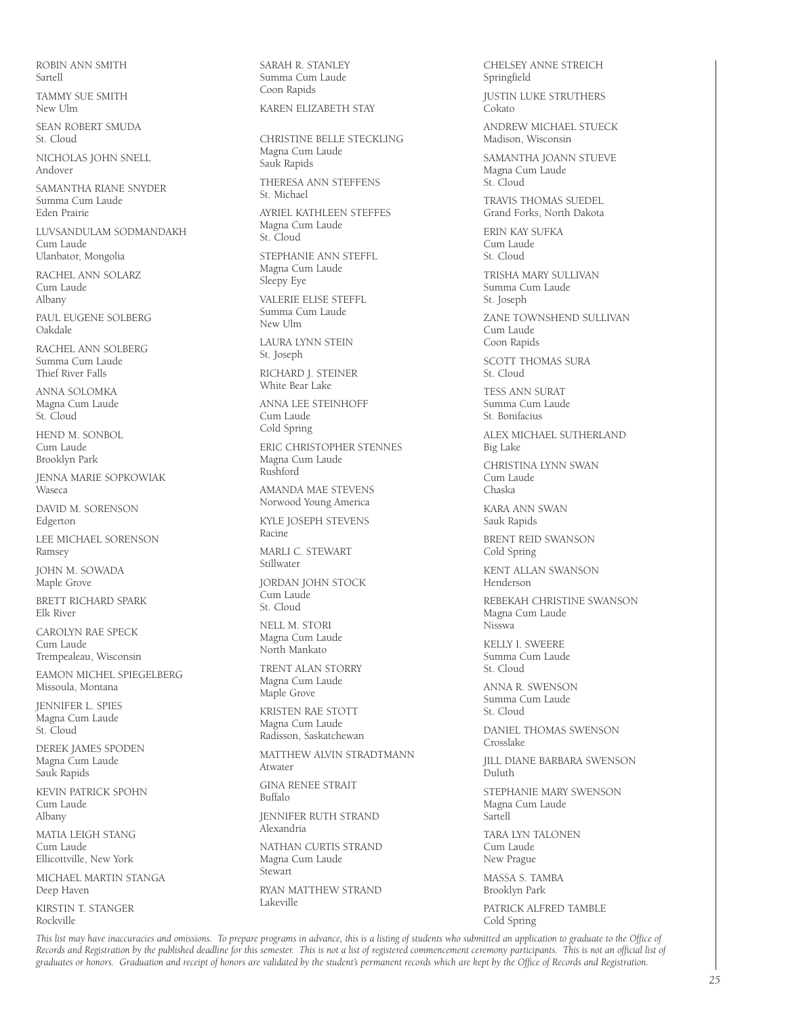ROBIN ANN SMITH Sartell

TAMMY SUE SMITH New Ulm

SEAN ROBERT SMUDA St. Cloud

NICHOLAS JOHN SNELL Andover

SAMANTHA RIANE SNYDER Summa Cum Laude Eden Prairie

LUVSANDULAM SODMANDAKH Cum Laude Ulanbator, Mongolia

RACHEL ANN SOLARZ Cum Laude Albany

PAUL EUGENE SOLBERG Oakdale

RACHEL ANN SOLBERG Summa Cum Laude Thief River Falls

ANNA SOLOMKA Magna Cum Laude St. Cloud

HEND M. SONBOL Cum Laude Brooklyn Park

JENNA MARIE SOPKOWIAK Waseca

DAVID M. SORENSON Edgerton

LEE MICHAEL SORENSON Ramsey

JOHN M. SOWADA Maple Grove

BRETT RICHARD SPARK Elk River

CAROLYN RAE SPECK Cum Laude Trempealeau, Wisconsin

EAMON MICHEL SPIEGELBERG Missoula, Montana

JENNIFER L. SPIES Magna Cum Laude St. Cloud

DEREK JAMES SPODEN Magna Cum Laude Sauk Rapids

KEVIN PATRICK SPOHN Cum Laude Albany

MATIA LEIGH STANG Cum Laude Ellicottville, New York

MICHAEL MARTIN STANGA Deep Haven

KIRSTIN T. STANGER Rockville

SARAH R. STANLEY Summa Cum Laude Coon Rapids

KAREN ELIZABETH STAY

CHRISTINE BELLE STECKLING Magna Cum Laude Sauk Rapids THERESA ANN STEFFENS St. Michael AYRIEL KATHLEEN STEFFES Magna Cum Laude St. Cloud STEPHANIE ANN STEFFL Magna Cum Laude Sleepy Eye VALERIE ELISE STEFFL Summa Cum Laude New Ulm LAURA LYNN STEIN St. Joseph RICHARD J. STEINER White Bear Lake ANNA LEE STEINHOFF Cum Laude Cold Spring ERIC CHRISTOPHER STENNES Magna Cum Laude Rushford AMANDA MAE STEVENS Norwood Young America KYLE JOSEPH STEVENS Racine MARLI C. STEWART Stillwater JORDAN JOHN STOCK Cum Laude St. Cloud NELL M. STORI Magna Cum Laude North Mankato TRENT ALAN STORRY Magna Cum Laude Maple Grove KRISTEN RAE STOTT Magna Cum Laude Radisson, Saskatchewan MATTHEW ALVIN STRADTMANN Atwater GINA RENEE STRAIT Buffalo JENNIFER RUTH STRAND Alexandria

NATHAN CURTIS STRAND Magna Cum Laude Stewart RYAN MATTHEW STRAND Lakeville

CHELSEY ANNE STREICH Springfield

JUSTIN LUKE STRUTHERS Cokato

ANDREW MICHAEL STUECK Madison, Wisconsin

SAMANTHA JOANN STUEVE Magna Cum Laude St. Cloud

TRAVIS THOMAS SUEDEL Grand Forks, North Dakota

ERIN KAY SUFKA Cum Laude St. Cloud

TRISHA MARY SULLIVAN Summa Cum Laude St. Joseph

ZANE TOWNSHEND SULLIVAN Cum Laude Coon Rapids

SCOTT THOMAS SURA St. Cloud

TESS ANN SURAT Summa Cum Laude St. Bonifacius

ALEX MICHAEL SUTHERLAND Big Lake

CHRISTINA LYNN SWAN Cum Laude Chaska

KARA ANN SWAN Sauk Rapids

BRENT REID SWANSON Cold Spring

KENT ALLAN SWANSON Henderson

REBEKAH CHRISTINE SWANSON Magna Cum Laude Nisswa

KELLY I. SWEERE Summa Cum Laude St. Cloud

ANNA R. SWENSON Summa Cum Laude St. Cloud

DANIEL THOMAS SWENSON Crosslake

JILL DIANE BARBARA SWENSON Duluth

STEPHANIE MARY SWENSON Magna Cum Laude Sartell

TARA LYN TALONEN Cum Laude New Prague

MASSA S. TAMBA Brooklyn Park

PATRICK ALFRED TAMBLE Cold Spring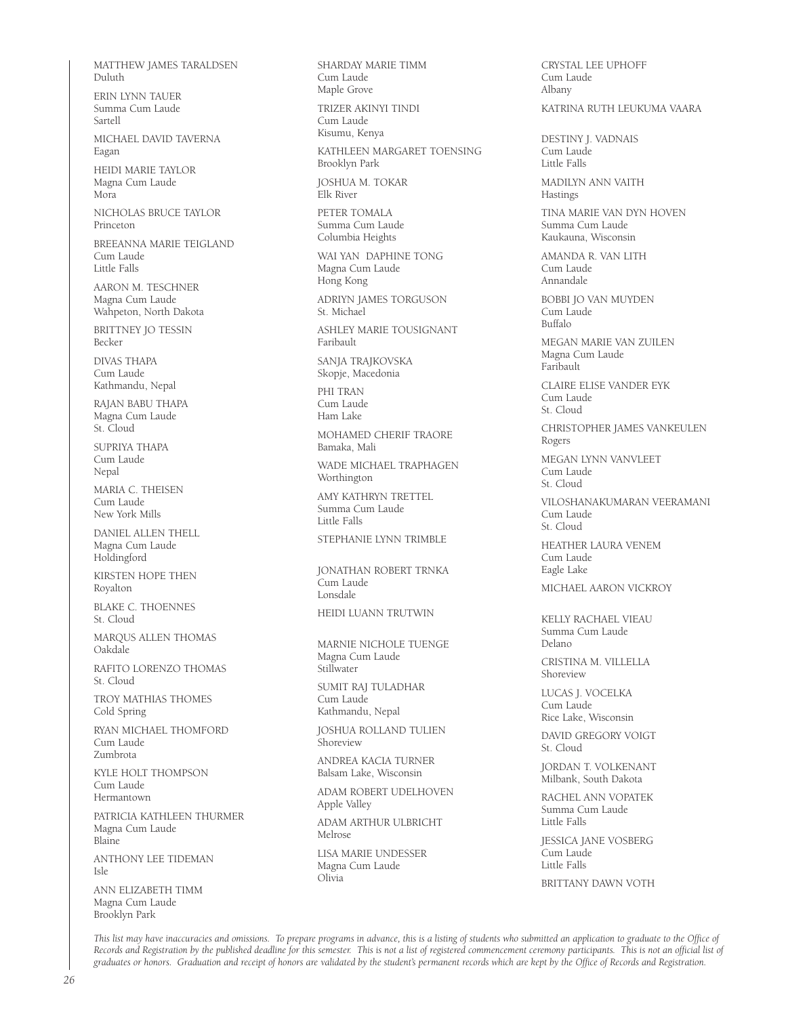MATTHEW JAMES TARALDSEN Duluth

ERIN LYNN TAUER Summa Cum Laude Sartell

MICHAEL DAVID TAVERNA Eagan

HEIDI MARIE TAYLOR Magna Cum Laude Mora

NICHOLAS BRUCE TAYLOR Princeton

BREEANNA MARIE TEIGLAND Cum Laude Little Falls

AARON M. TESCHNER Magna Cum Laude Wahpeton, North Dakota

BRITTNEY JO TESSIN Becker

DIVAS THAPA Cum Laude Kathmandu, Nepal

RAJAN BABU THAPA Magna Cum Laude St. Cloud

SUPRIYA THAPA Cum Laude Nepal

MARIA C. THEISEN Cum Laude New York Mills

DANIEL ALLEN THELL Magna Cum Laude Holdingford

KIRSTEN HOPE THEN Royalton

BLAKE C. THOENNES St. Cloud

MARQUS ALLEN THOMAS Oakdale

RAFITO LORENZO THOMAS St. Cloud

TROY MATHIAS THOMES Cold Spring

RYAN MICHAEL THOMFORD Cum Laude Zumbrota

KYLE HOLT THOMPSON Cum Laude Hermantown

PATRICIA KATHLEEN THURMER Magna Cum Laude Blaine

ANTHONY LEE TIDEMAN Isle

ANN ELIZABETH TIMM Magna Cum Laude Brooklyn Park

SHARDAY MARIE TIMM Cum Laude Maple Grove

TRIZER AKINYI TINDI Cum Laude Kisumu, Kenya

KATHLEEN MARGARET TOENSING Brooklyn Park

JOSHUA M. TOKAR Elk River

PETER TOMALA Summa Cum Laude Columbia Heights

WAI YAN DAPHINE TONG Magna Cum Laude Hong Kong

ADRIYN JAMES TORGUSON St. Michael

ASHLEY MARIE TOUSIGNANT Faribault

SANJA TRAJKOVSKA Skopje, Macedonia

PHI TRAN Cum Laude Ham Lake

MOHAMED CHERIF TRAORE Bamaka, Mali

WADE MICHAEL TRAPHAGEN Worthington

AMY KATHRYN TRETTEL Summa Cum Laude Little Falls

STEPHANIE LYNN TRIMBLE

JONATHAN ROBERT TRNKA Cum Laude Lonsdale

HEIDI LUANN TRUTWIN

MARNIE NICHOLE TUENGE Magna Cum Laude Stillwater

SUMIT RAJ TULADHAR Cum Laude Kathmandu, Nepal

JOSHUA ROLLAND TULIEN Shoreview

ANDREA KACIA TURNER Balsam Lake, Wisconsin

ADAM ROBERT UDELHOVEN Apple Valley

ADAM ARTHUR ULBRICHT Melrose

LISA MARIE UNDESSER Magna Cum Laude Olivia

CRYSTAL LEE UPHOFF Cum Laude Albany

#### KATRINA RUTH LEUKUMA VAARA

DESTINY J. VADNAIS Cum Laude Little Falls

MADILYN ANN VAITH Hastings

TINA MARIE VAN DYN HOVEN Summa Cum Laude Kaukauna, Wisconsin

AMANDA R. VAN LITH Cum Laude Annandale

BOBBI JO VAN MUYDEN Cum Laude Buffalo

MEGAN MARIE VAN ZUILEN Magna Cum Laude Faribault

CLAIRE ELISE VANDER EYK Cum Laude St. Cloud

CHRISTOPHER JAMES VANKEULEN Rogers

MEGAN LYNN VANVLEET Cum Laude St. Cloud

VILOSHANAKUMARAN VEERAMANI Cum Laude St. Cloud

HEATHER LAURA VENEM Cum Laude Eagle Lake

MICHAEL AARON VICKROY

KELLY RACHAEL VIEAU Summa Cum Laude Delano

CRISTINA M. VILLELLA Shoreview

LUCAS J. VOCELKA Cum Laude Rice Lake, Wisconsin

DAVID GREGORY VOIGT St. Cloud

JORDAN T. VOLKENANT Milbank, South Dakota

RACHEL ANN VOPATEK Summa Cum Laude Little Falls

JESSICA JANE VOSBERG Cum Laude Little Falls

BRITTANY DAWN VOTH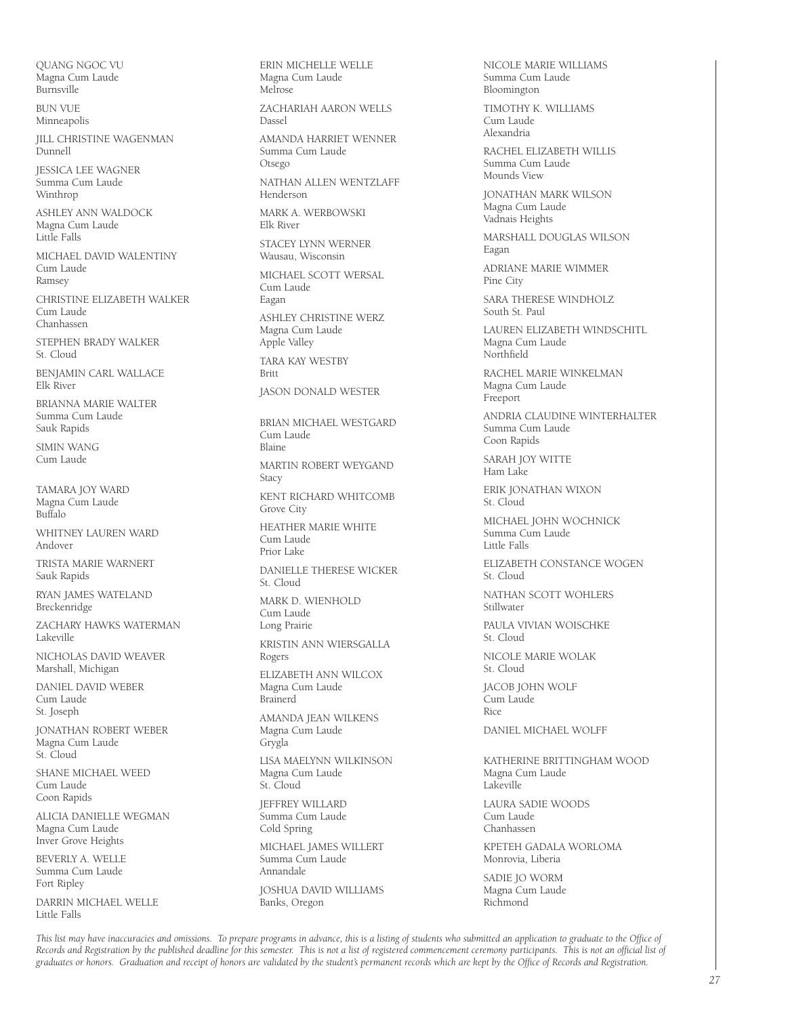QUANG NGOC VU Magna Cum Laude Burnsville

BUN VUE Minneapolis

JILL CHRISTINE WAGENMAN Dunnell

JESSICA LEE WAGNER Summa Cum Laude Winthrop

ASHLEY ANN WALDOCK Magna Cum Laude Little Falls

MICHAEL DAVID WALENTINY Cum Laude Ramsey

CHRISTINE ELIZABETH WALKER Cum Laude Chanhassen

STEPHEN BRADY WALKER St. Cloud

BENJAMIN CARL WALLACE Elk River

BRIANNA MARIE WALTER Summa Cum Laude Sauk Rapids

SIMIN WANG Cum Laude

TAMARA JOY WARD Magna Cum Laude  $B<sub>u</sub>$ ffalo

WHITNEY LAUREN WARD Andover

TRISTA MARIE WARNERT Sauk Rapids

RYAN JAMES WATELAND Breckenridge

ZACHARY HAWKS WATERMAN Lakeville

NICHOLAS DAVID WEAVER Marshall, Michigan

DANIEL DAVID WEBER Cum Laude St. Joseph

JONATHAN ROBERT WEBER Magna Cum Laude St. Cloud

SHANE MICHAEL WEED Cum Laude Coon Rapids

ALICIA DANIELLE WEGMAN Magna Cum Laude Inver Grove Heights

BEVERLY A WELLE Summa Cum Laude Fort Ripley

DARRIN MICHAEL WELLE Little Falls

ERIN MICHELLE WELLE Magna Cum Laude Melrose ZACHARIAH AARON WELLS Dassel AMANDA HARRIET WENNER Summa Cum Laude Otsego NATHAN ALLEN WENTZLAFF Henderson MARK A. WERBOWSKI Elk River STACEY LYNN WERNER Wausau, Wisconsin MICHAEL SCOTT WERSAL Cum Laude Eagan ASHLEY CHRISTINE WERZ Magna Cum Laude Apple Valley TARA KAY WESTBY Britt JASON DONALD WESTER BRIAN MICHAEL WESTGARD Cum Laude Blaine MARTIN ROBERT WEYGAND Stacy KENT RICHARD WHITCOMB Grove City HEATHER MARIE WHITE Cum Laude Prior Lake DANIELLE THERESE WICKER St. Cloud MARK D. WIENHOLD Cum Laude Long Prairie KRISTIN ANN WIERSGALLA Rogers ELIZABETH ANN WILCOX Magna Cum Laude Brainerd AMANDA JEAN WILKENS Magna Cum Laude Grygla LISA MAELYNN WILKINSON Magna Cum Laude St. Cloud JEFFREY WILLARD Summa Cum Laude Cold Spring MICHAEL JAMES WILLERT Summa Cum Laude Annandale

JOSHUA DAVID WILLIAMS Banks, Oregon

NICOLE MARIE WILLIAMS Summa Cum Laude Bloomington

TIMOTHY K. WILLIAMS Cum Laude Alexandria

RACHEL ELIZABETH WILLIS Summa Cum Laude Mounds View

JONATHAN MARK WILSON Magna Cum Laude Vadnais Heights

MARSHALL DOUGLAS WILSON Eagan

ADRIANE MARIE WIMMER Pine City

SARA THERESE WINDHOLZ South St. Paul

LAUREN ELIZABETH WINDSCHITL Magna Cum Laude Northfield

RACHEL MARIE WINKELMAN Magna Cum Laude Freeport

ANDRIA CLAUDINE WINTERHALTER Summa Cum Laude Coon Rapids

SARAH JOY WITTE Ham Lake

ERIK JONATHAN WIXON St. Cloud

MICHAEL JOHN WOCHNICK Summa Cum Laude Little Falls

ELIZABETH CONSTANCE WOGEN St. Cloud

NATHAN SCOTT WOHLERS Stillwater

PAULA VIVIAN WOISCHKE St. Cloud

NICOLE MARIE WOLAK St. Cloud

JACOB JOHN WOLF Cum Laude Rice

DANIEL MICHAEL WOLFF

KATHERINE BRITTINGHAM WOOD Magna Cum Laude Lakeville

LAURA SADIE WOODS Cum Laude Chanhassen

KPETEH GADALA WORLOMA Monrovia, Liberia

SADIE JO WORM Magna Cum Laude Richmond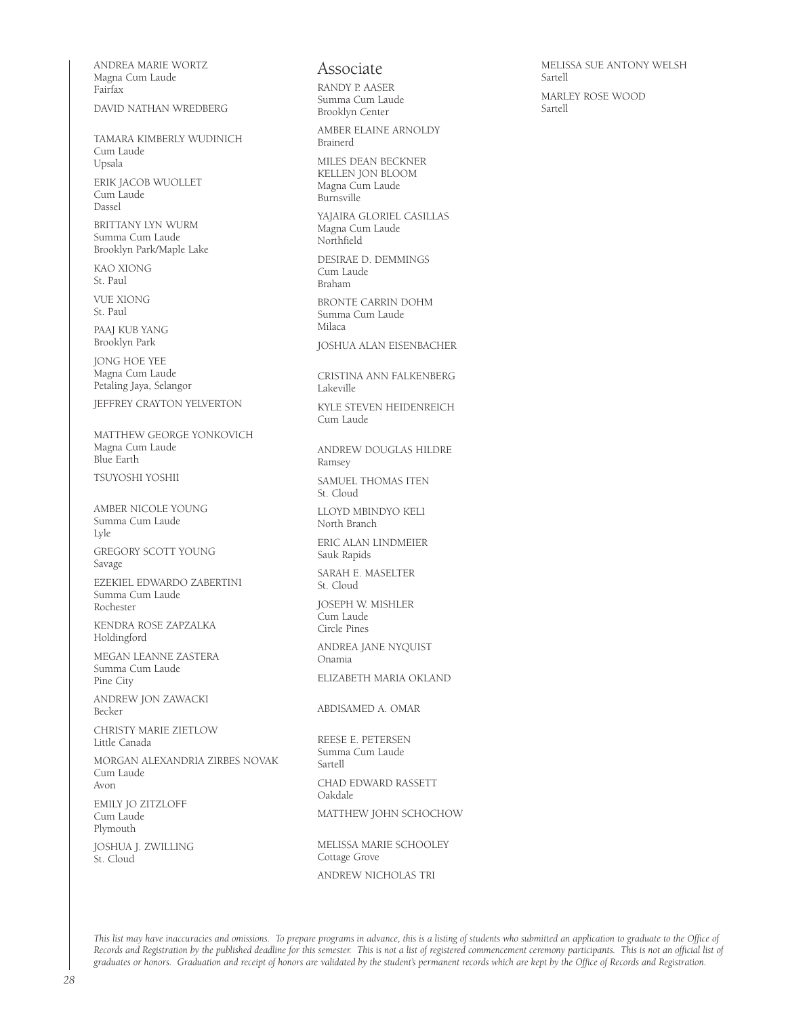ANDREA MARIE WORTZ Magna Cum Laude Fairfax

DAVID NATHAN WREDBERG

TAMARA KIMBERLY WUDINICH Cum Laude Upsala ERIK JACOB WUOLLET Cum Laude Dassel

BRITTANY LYN WURM Summa Cum Laude Brooklyn Park/Maple Lake

KAO XIONG St. Paul

VUE XIONG St. Paul

PAAJ KUB YANG Brooklyn Park

JONG HOE YEE Magna Cum Laude Petaling Jaya, Selangor

JEFFREY CRAYTON YELVERTON

MATTHEW GEORGE YONKOVICH Magna Cum Laude Blue Earth

TSUYOSHI YOSHII

AMBER NICOLE YOUNG Summa Cum Laude Lyle GREGORY SCOTT YOUNG Savage

EZEKIEL EDWARDO ZABERTINI Summa Cum Laude Rochester

KENDRA ROSE ZAPZALKA Holdingford

MEGAN LEANNE ZASTERA Summa Cum Laude Pine City

ANDREW JON ZAWACKI Becker

CHRISTY MARIE ZIETLOW Little Canada

MORGAN ALEXANDRIA ZIRBES NOVAK Cum Laude Avon

EMILY JO ZITZLOFF Cum Laude Plymouth

JOSHUA J. ZWILLING St. Cloud

### Associate

RANDY P. AASER Summa Cum Laude Brooklyn Center

AMBER ELAINE ARNOLDY Brainerd

MILES DEAN BECKNER KELLEN JON BLOOM Magna Cum Laude Burnsville

YAJAIRA GLORIEL CASILLAS Magna Cum Laude Northfield

DESIRAE D. DEMMINGS Cum Laude Braham

BRONTE CARRIN DOHM Summa Cum Laude Milaca

JOSHUA ALAN EISENBACHER

CRISTINA ANN FALKENBERG Lakeville

KYLE STEVEN HEIDENREICH Cum Laude

ANDREW DOUGLAS HILDRE Ramsey

SAMUEL THOMAS ITEN St. Cloud

LLOYD MBINDYO KELI North Branch

ERIC ALAN LINDMEIER Sauk Rapids

SARAH E. MASELTER St. Cloud

JOSEPH W. MISHLER Cum Laude Circle Pines

ANDREA JANE NYQUIST Onamia

ELIZABETH MARIA OKLAND

ABDISAMED A. OMAR

REESE E. PETERSEN Summa Cum Laude Sartell CHAD EDWARD RASSETT Oakdale MATTHEW JOHN SCHOCHOW

MELISSA MARIE SCHOOLEY Cottage Grove ANDREW NICHOLAS TRI

MELISSA SUE ANTONY WELSH Sartell MARLEY ROSE WOOD Sartell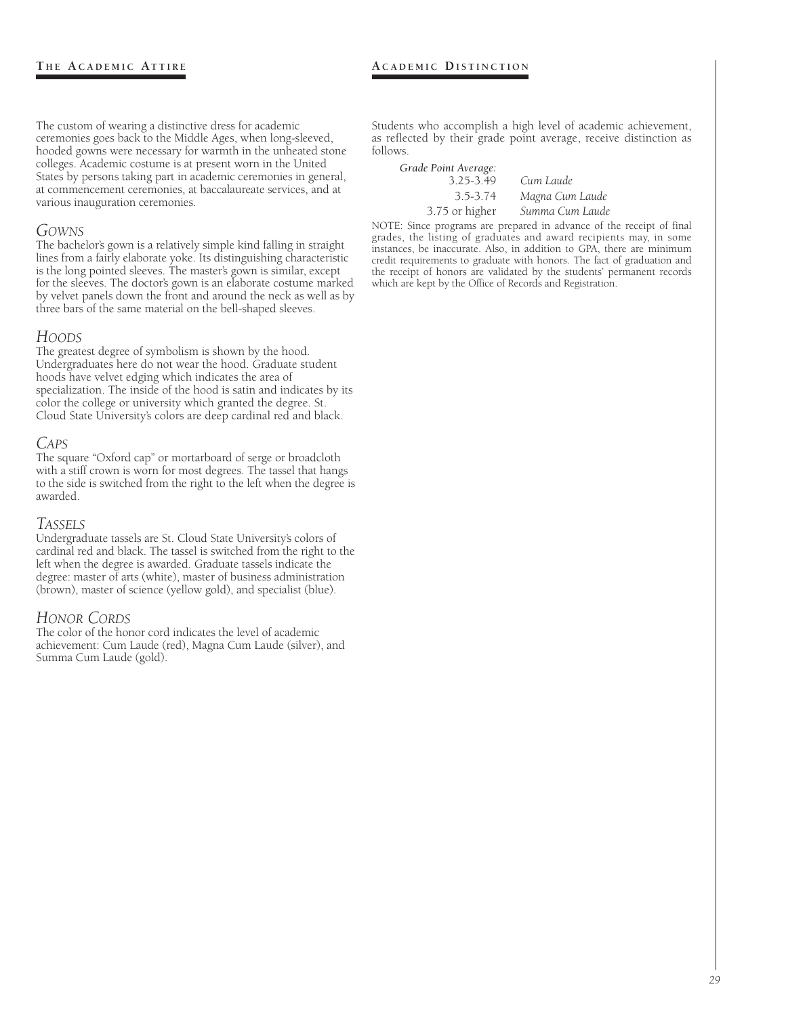The custom of wearing a distinctive dress for academic ceremonies goes back to the Middle Ages, when long-sleeved, hooded gowns were necessary for warmth in the unheated stone colleges. Academic costume is at present worn in the United States by persons taking part in academic ceremonies in general, at commencement ceremonies, at baccalaureate services, and at various inauguration ceremonies.

# *GOWNS*

The bachelor's gown is a relatively simple kind falling in straight lines from a fairly elaborate yoke. Its distinguishing characteristic is the long pointed sleeves. The master's gown is similar, except for the sleeves. The doctor's gown is an elaborate costume marked by velvet panels down the front and around the neck as well as by three bars of the same material on the bell-shaped sleeves.

# *HOODS*

The greatest degree of symbolism is shown by the hood. Undergraduates here do not wear the hood. Graduate student hoods have velvet edging which indicates the area of specialization. The inside of the hood is satin and indicates by its color the college or university which granted the degree. St. Cloud State University's colors are deep cardinal red and black.

# *CAPS*

The square "Oxford cap" or mortarboard of serge or broadcloth with a stiff crown is worn for most degrees. The tassel that hangs to the side is switched from the right to the left when the degree is awarded.

# *TASSELS*

Undergraduate tassels are St. Cloud State University's colors of cardinal red and black. The tassel is switched from the right to the left when the degree is awarded. Graduate tassels indicate the degree: master of arts (white), master of business administration (brown), master of science (yellow gold), and specialist (blue).

# *HONOR CORDS*

The color of the honor cord indicates the level of academic achievement: Cum Laude (red), Magna Cum Laude (silver), and Summa Cum Laude (gold).

Students who accomplish a high level of academic achievement, as reflected by their grade point average, receive distinction as follows.

*Grade Point Average:* 3.25-3.49 *Cum Laude* 3.75 or higher *Summa Cum Laude*

3.5-3.74 *Magna Cum Laude*

NOTE: Since programs are prepared in advance of the receipt of final grades, the listing of graduates and award recipients may, in some instances, be inaccurate. Also, in addition to GPA, there are minimum credit requirements to graduate with honors. The fact of graduation and the receipt of honors are validated by the students' permanent records which are kept by the Office of Records and Registration.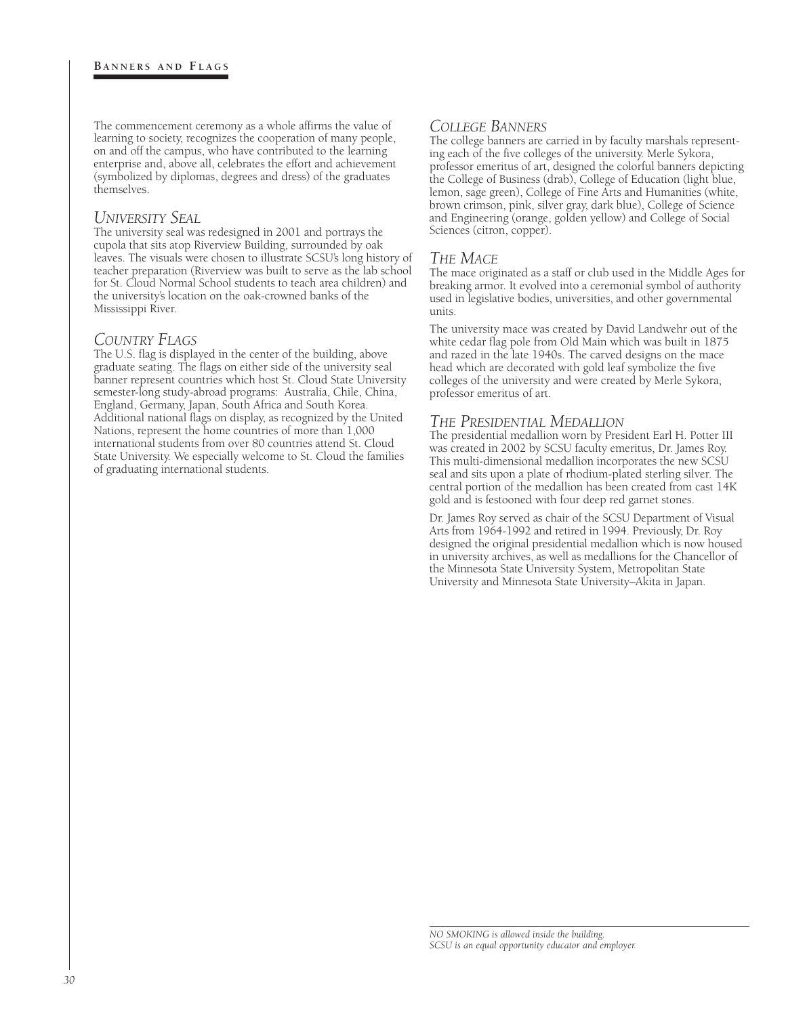The commencement ceremony as a whole affirms the value of learning to society, recognizes the cooperation of many people, on and off the campus, who have contributed to the learning enterprise and, above all, celebrates the effort and achievement (symbolized by diplomas, degrees and dress) of the graduates themselves.

#### *UNIVERSITY SEAL*

The university seal was redesigned in 2001 and portrays the cupola that sits atop Riverview Building, surrounded by oak leaves. The visuals were chosen to illustrate SCSU's long history of teacher preparation (Riverview was built to serve as the lab school for St. Cloud Normal School students to teach area children) and the university's location on the oak-crowned banks of the Mississippi River.

#### *COUNTRY FLAGS*

The U.S. flag is displayed in the center of the building, above graduate seating. The flags on either side of the university seal banner represent countries which host St. Cloud State University semester-long study-abroad programs: Australia, Chile, China, England, Germany, Japan, South Africa and South Korea. Additional national flags on display, as recognized by the United Nations, represent the home countries of more than 1,000 international students from over 80 countries attend St. Cloud State University. We especially welcome to St. Cloud the families of graduating international students.

# *COLLEGE BANNERS*

The college banners are carried in by faculty marshals representing each of the five colleges of the university. Merle Sykora, professor emeritus of art, designed the colorful banners depicting the College of Business (drab), College of Education (light blue, lemon, sage green), College of Fine Arts and Humanities (white, brown crimson, pink, silver gray, dark blue), College of Science and Engineering (orange, golden yellow) and College of Social Sciences (citron, copper).

### *THE MACE*

The mace originated as a staff or club used in the Middle Ages for breaking armor. It evolved into a ceremonial symbol of authority used in legislative bodies, universities, and other governmental units.

The university mace was created by David Landwehr out of the white cedar flag pole from Old Main which was built in 1875 and razed in the late 1940s. The carved designs on the mace head which are decorated with gold leaf symbolize the five colleges of the university and were created by Merle Sykora, professor emeritus of art.

# *THE PRESIDENTIAL MEDALLION*

The presidential medallion worn by President Earl H. Potter III was created in 2002 by SCSU faculty emeritus, Dr. James Roy. This multi-dimensional medallion incorporates the new SCSU seal and sits upon a plate of rhodium-plated sterling silver. The central portion of the medallion has been created from cast 14K gold and is festooned with four deep red garnet stones.

Dr. James Roy served as chair of the SCSU Department of Visual Arts from 1964-1992 and retired in 1994. Previously, Dr. Roy designed the original presidential medallion which is now housed in university archives, as well as medallions for the Chancellor of the Minnesota State University System, Metropolitan State University and Minnesota State University–Akita in Japan.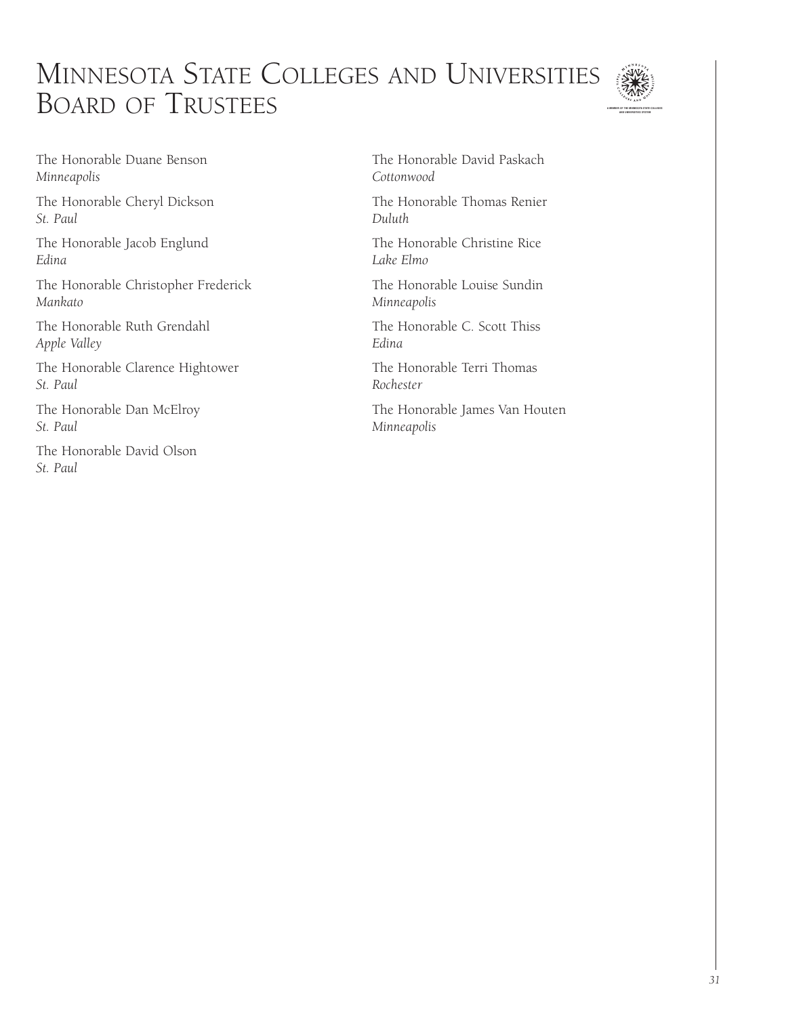# MINNESOTA STATE COLLEGES AND UNIVERSITIES BOARD OF TRUSTEES



The Honorable Duane Benson *Minneapolis*

The Honorable Cheryl Dickson *St. Paul*

The Honorable Jacob Englund *Edina*

The Honorable Christopher Frederick *Mankato*

The Honorable Ruth Grendahl *Apple Valley*

The Honorable Clarence Hightower *St. Paul*

The Honorable Dan McElroy *St. Paul*

The Honorable David Olson *St. Paul*

The Honorable David Paskach *Cottonwood*

The Honorable Thomas Renier *Duluth*

The Honorable Christine Rice *Lake Elmo*

The Honorable Louise Sundin *Minneapolis*

The Honorable C. Scott Thiss *Edina*

The Honorable Terri Thomas *Rochester*

The Honorable James Van Houten *Minneapolis*